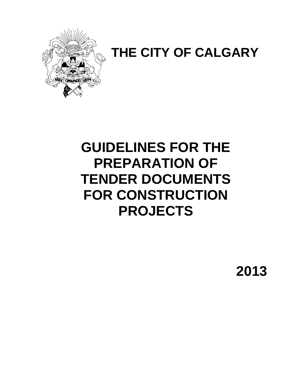

# **THE CITY OF CALGARY**

# **GUIDELINES FOR THE PREPARATION OF TENDER DOCUMENTS FOR CONSTRUCTION PROJECTS**

**2013**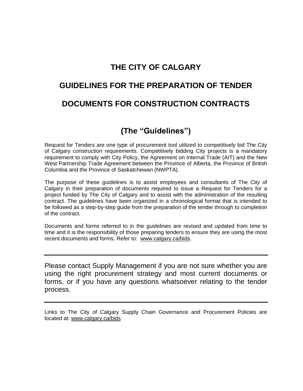# **THE CITY OF CALGARY**

# **GUIDELINES FOR THE PREPARATION OF TENDER DOCUMENTS FOR CONSTRUCTION CONTRACTS**

# **(The "Guidelines")**

Request for Tenders are one type of procurement tool utilized to competitively bid The City of Calgary construction requirements. Competitively bidding City projects is a mandatory requirement to comply with City Policy, the Agreement on Internal Trade (AIT) and the New West Partnership Trade Agreement between the Province of Alberta, the Province of British Columbia and the Province of Saskatchewan (NWPTA).

The purpose of these guidelines is to assist employees and consultants of The City of Calgary in their preparation of documents required to issue a Request for Tenders for a project funded by The City of Calgary and to assist with the administration of the resulting contract. The guidelines have been organized in a chronological format that is intended to be followed as a step-by-step guide from the preparation of the tender through to completion of the contract.

Documents and forms referred to in the guidelines are revised and updated from time to time and it is the responsibility of those preparing tenders to ensure they are using the most recent documents and forms. Refer to: [www.calgary.ca/bids.](http://www.calgary.ca/bids)

Please contact Supply Management if you are not sure whether you are using the right procurement strategy and most current documents or forms, or if you have any questions whatsoever relating to the tender process.

Links to The City of Calgary Supply Chain Governance and Procurement Policies are located at: [www.calgary.ca/bids](http://www.calgary.ca/bids)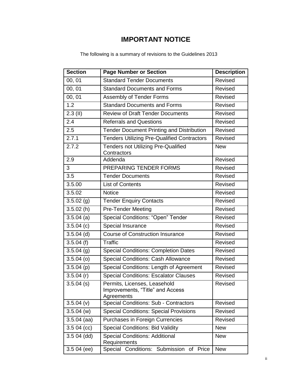# **IMPORTANT NOTICE**

| <b>Section</b>          | <b>Page Number or Section</b>                                                  | <b>Description</b> |  |  |
|-------------------------|--------------------------------------------------------------------------------|--------------------|--|--|
| 00, 01                  | <b>Standard Tender Documents</b>                                               | Revised            |  |  |
| 00, 01                  | <b>Standard Documents and Forms</b>                                            | Revised            |  |  |
| 00, 01                  | Assembly of Tender Forms                                                       | Revised            |  |  |
| 1.2                     | <b>Standard Documents and Forms</b>                                            | Revised            |  |  |
| $2.3$ (II)              | <b>Review of Draft Tender Documents</b>                                        | Revised            |  |  |
| 2.4                     | <b>Referrals and Questions</b>                                                 | Revised            |  |  |
| 2.5                     | <b>Tender Document Printing and Distribution</b>                               | Revised            |  |  |
| 2.7.1                   | <b>Tenders Utilizing Pre-Qualified Contractors</b>                             | Revised            |  |  |
| 2.7.2                   | <b>Tenders not Utilizing Pre-Qualified</b><br>Contractors                      | <b>New</b>         |  |  |
| 2.9                     | Addenda                                                                        | Revised            |  |  |
| 3                       | PREPARING TENDER FORMS                                                         | Revised            |  |  |
| 3.5                     | <b>Tender Documents</b>                                                        | Revised            |  |  |
| 3.5.00                  | <b>List of Contents</b>                                                        | Revised            |  |  |
| 3.5.02                  | <b>Notice</b>                                                                  | Revised            |  |  |
| $3.5.02$ (g)            | <b>Tender Enquiry Contacts</b>                                                 | Revised            |  |  |
| 3.5.02(h)               | <b>Pre-Tender Meeting</b>                                                      | Revised            |  |  |
| $3.5.04$ (a)            | Special Conditions: "Open" Tender                                              | Revised            |  |  |
| $\overline{3.5.04}$ (c) | Special Insurance                                                              | Revised            |  |  |
| $3.5.04$ (d)            | <b>Course of Construction Insurance</b>                                        | Revised            |  |  |
| 3.5.04(f)               | <b>Traffic</b>                                                                 | Revised            |  |  |
| $3.5.04$ (g)            | <b>Special Conditions: Completion Dates</b>                                    | Revised            |  |  |
| $3.5.04$ (o)            | <b>Special Conditions: Cash Allowance</b>                                      | Revised            |  |  |
| $3.5.04$ (p)            | Special Conditions: Length of Agreement                                        | Revised            |  |  |
| $3.5.04$ (r)            | <b>Special Conditions: Escalator Clauses</b>                                   | Revised            |  |  |
| $3.5.04$ (s)            | Permits, Licenses, Leasehold<br>Improvements, "Title" and Access<br>Agreements | Revised            |  |  |
| $3.5.04$ (v)            | <b>Special Conditions: Sub - Contractors</b>                                   | Revised            |  |  |
| $3.5.04$ (w)            | <b>Special Conditions: Special Provisions</b>                                  | Revised            |  |  |
| $3.5.04$ (aa)           | Purchases in Foreign Currencies                                                | Revised            |  |  |
| $3.504$ (cc)            | <b>Special Conditions: Bid Validity</b>                                        | <b>New</b>         |  |  |
| $3.504$ (dd)            | <b>Special Conditions: Additional</b><br><b>New</b><br>Requirements            |                    |  |  |
| $3.504$ (ee)            | Special Conditions: Submission of Price                                        | <b>New</b>         |  |  |

The following is a summary of revisions to the Guidelines 2013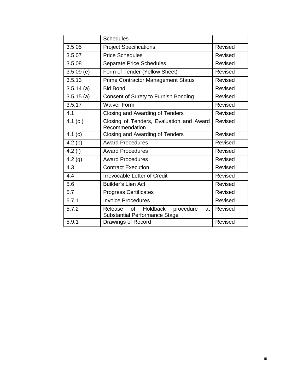|              | <b>Schedules</b>                                                                            |         |
|--------------|---------------------------------------------------------------------------------------------|---------|
| 3.5 05       | <b>Project Specifications</b>                                                               | Revised |
| 3.5 07       | <b>Price Schedules</b>                                                                      | Revised |
| 3.5 08       | Separate Price Schedules                                                                    | Revised |
| 3.509(e)     | Form of Tender (Yellow Sheet)                                                               | Revised |
| 3.5.13       | <b>Prime Contractor Management Status</b>                                                   | Revised |
| $3.5.14$ (a) | <b>Bid Bond</b>                                                                             | Revised |
| 3.5.15(a)    | Consent of Surety to Furnish Bonding                                                        | Revised |
| 3.5.17       | <b>Waiver Form</b>                                                                          | Revised |
| 4.1          | Closing and Awarding of Tenders                                                             | Revised |
| 4.1 $(c)$    | Closing of Tenders, Evaluation and Award<br>Recommendation                                  | Revised |
| 4.1 $(c)$    | Closing and Awarding of Tenders                                                             | Revised |
| 4.2(b)       | <b>Award Procedures</b>                                                                     | Revised |
| 4.2(f)       | <b>Award Procedures</b>                                                                     | Revised |
| 4.2(g)       | <b>Award Procedures</b>                                                                     | Revised |
| 4.3          | <b>Contract Execution</b>                                                                   | Revised |
| 4.4          | <b>Irrevocable Letter of Credit</b>                                                         | Revised |
| 5.6          | <b>Builder's Lien Act</b>                                                                   | Revised |
| 5.7          | <b>Progress Certificates</b>                                                                | Revised |
| 5.7.1        | <b>Invoice Procedures</b>                                                                   | Revised |
| 5.7.2        | <b>Holdback</b><br>of<br>procedure<br>Release<br>at<br><b>Substantial Performance Stage</b> | Revised |
| 5.9.1        | Drawings of Record                                                                          | Revised |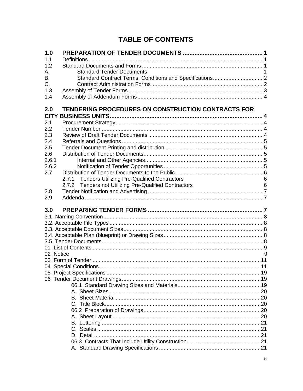# **TABLE OF CONTENTS**

| 1.0         |                                                       |   |
|-------------|-------------------------------------------------------|---|
| 1.1         |                                                       |   |
| 1.2         |                                                       |   |
| А.          | <b>Standard Tender Documents</b>                      |   |
| В.          |                                                       |   |
| C.          |                                                       |   |
| 1.3         |                                                       |   |
| 1.4         |                                                       |   |
| 2.0         | TENDERING PROCEDURES ON CONSTRUCTION CONTRACTS FOR    |   |
| <b>CITY</b> |                                                       |   |
| 2.1         |                                                       |   |
| 2.2         |                                                       |   |
| 2.3         |                                                       |   |
| 2.4         |                                                       |   |
| 2.5         |                                                       |   |
| 2.6         |                                                       |   |
| 2.6.1       |                                                       |   |
| 2.6.2       |                                                       |   |
| 2.7         |                                                       |   |
|             | 2.7.1 Tenders Utilizing Pre-Qualified Contractors     | 6 |
|             | 2.7.2 Tenders not Utilizing Pre-Qualified Contractors | 6 |
| 2.8<br>2.9  |                                                       |   |
|             |                                                       |   |
| 3.0         |                                                       |   |
|             |                                                       |   |
|             |                                                       |   |
|             |                                                       |   |
|             |                                                       |   |
|             |                                                       |   |
|             |                                                       |   |
|             | 02 Notice                                             | 9 |
|             |                                                       |   |
|             |                                                       |   |
|             |                                                       |   |
|             |                                                       |   |
|             |                                                       |   |
|             |                                                       |   |
|             |                                                       |   |
|             |                                                       |   |
|             |                                                       |   |
|             |                                                       |   |
|             |                                                       |   |
|             |                                                       |   |
|             |                                                       |   |
|             |                                                       |   |
|             |                                                       |   |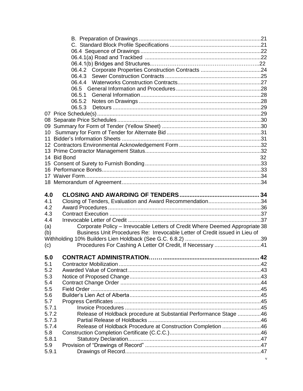|       | 06.5.1                                                                       |    |
|-------|------------------------------------------------------------------------------|----|
|       |                                                                              |    |
|       | 06.5.3                                                                       |    |
|       |                                                                              |    |
|       |                                                                              |    |
|       |                                                                              |    |
| 10    |                                                                              |    |
|       |                                                                              |    |
|       |                                                                              |    |
|       |                                                                              |    |
|       | 14 Bid Bond                                                                  | 32 |
|       |                                                                              |    |
|       |                                                                              |    |
|       |                                                                              |    |
|       |                                                                              |    |
|       |                                                                              |    |
| 4.0   |                                                                              |    |
|       |                                                                              |    |
| 4.1   |                                                                              |    |
| 4.2   | Closing of Tenders, Evaluation and Award Recommendation34                    |    |
| 4.3   |                                                                              |    |
| 4.4   |                                                                              |    |
| (a)   | Corporate Policy - Irrevocable Letters of Credit Where Deemed Appropriate 38 |    |
| (b)   | Business Unit Procedures Re: Irrevocable Letter of Credit issued in Lieu of  |    |
|       |                                                                              |    |
| (c)   | Procedures For Cashing A Letter Of Credit, If Necessary 41                   |    |
|       |                                                                              |    |
| 5.0   |                                                                              | 42 |
| 5.1   |                                                                              |    |
| 5.2   |                                                                              |    |
| 5.3   |                                                                              |    |
| 5.4   |                                                                              |    |
| 5.5   |                                                                              |    |
| 5.6   |                                                                              |    |
| 5.7   |                                                                              |    |
| 5.7.1 |                                                                              |    |
| 5.7.2 | Release of Holdback procedure at Substantial Performance Stage 46            |    |
| 5.7.3 |                                                                              |    |
| 5.7.4 | Release of Holdback Procedure at Construction Completion 46                  |    |
| 5.8   |                                                                              |    |
| 5.8.1 |                                                                              |    |
| 5.9   |                                                                              |    |
| 5.9.1 |                                                                              |    |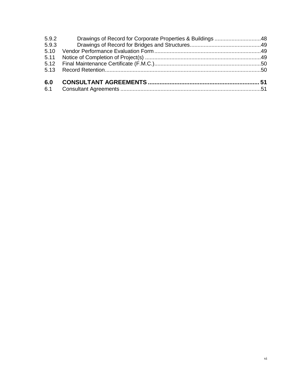| 5.9.2 | Drawings of Record for Corporate Properties & Buildings 48 |  |
|-------|------------------------------------------------------------|--|
| 5.9.3 |                                                            |  |
| 5.10  |                                                            |  |
|       |                                                            |  |
|       |                                                            |  |
|       |                                                            |  |
| 6.0   |                                                            |  |
| 6.1   |                                                            |  |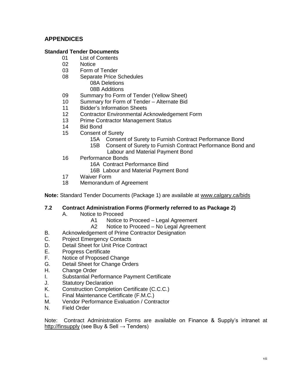# **APPENDICES**

# **Standard Tender Documents**

- 01 List of Contents
- 02 Notice
- 03 Form of Tender
- 08 Separate Price Schedules
	- 08A Deletions 08B Additions
- 09 Summary fro Form of Tender (Yellow Sheet)
- 10 Summary for Form of Tender Alternate Bid
- 11 Bidder"s Information Sheets
- 12 Contractor Environmental Acknowledgement Form
- 13 Prime Contractor Management Status
- 14 Bid Bond
- 15 Consent of Surety
	- 15A Consent of Surety to Furnish Contract Performance Bond
	- 15B Consent of Surety to Furnish Contract Performance Bond and Labour and Material Payment Bond
- 16 Performance Bonds
	- 16A Contract Performance Bind
	- 16B Labour and Material Payment Bond
- 17 Waiver Form
- 18 Memorandum of Agreement

**Note:** Standard Tender Documents (Package 1) are available at [www.calgary.ca/bids](http://www.calgary.ca/bids)

#### **7.2 Contract Administration Forms (Formerly referred to as Package 2)**

- A. Notice to Proceed
	- A1 Notice to Proceed Legal Agreement
	- A2 Notice to Proceed No Legal Agreement
- B. Acknowledgement of Prime Contractor Designation
- C. Project Emergency Contacts
- D. Detail Sheet for Unit Price Contract
- E. Progress Certificate
- F. Notice of Proposed Change
- G. Detail Sheet for Change Orders
- H. Change Order
- I. Substantial Performance Payment Certificate
- J. Statutory Declaration
- K. Construction Completion Certificate (C.C.C.)
- L. Final Maintenance Certificate (F.M.C.)
- M. Vendor Performance Evaluation / Contractor
- N. Field Order

Note: Contract Administration Forms are available on Finance & Supply"s intranet at [http://finsupply](http://finsupply/) (see Buy & Sell  $\rightarrow$  Tenders)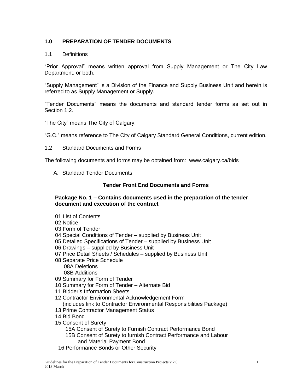# <span id="page-8-0"></span>**1.0 PREPARATION OF TENDER DOCUMENTS**

#### 1.1 Definitions

"Prior Approval" means written approval from Supply Management or The City Law Department, or both.

"Supply Management" is a Division of the Finance and Supply Business Unit and herein is referred to as Supply Management or Supply.

"Tender Documents" means the documents and standard tender forms as set out in Section 1.2.

"The City" means The City of Calgary.

"G.C." means reference to The City of Calgary Standard General Conditions, current edition.

1.2 Standard Documents and Forms

The following documents and forms may be obtained from: [www.calgary.ca/bids](http://www.calgary.ca/bids)

A. Standard Tender Documents

#### **Tender Front End Documents and Forms**

#### **Package No. 1 – Contains documents used in the preparation of the tender document and execution of the contract**

- 01 List of Contents
- 02 Notice
- 03 Form of Tender
- 04 Special Conditions of Tender supplied by Business Unit
- 05 Detailed Specifications of Tender supplied by Business Unit
- 06 Drawings supplied by Business Unit
- 07 Price Detail Sheets / Schedules supplied by Business Unit
- 08 Separate Price Schedule 08A Deletions 08B Additions
- 09 Summary for Form of Tender
- 10 Summary for Form of Tender Alternate Bid
- 11 Bidder"s Information Sheets
- 12 Contractor Environmental Acknowledgement Form (includes link to Contractor Environmental Responsibilities Package)
- 13 Prime Contractor Management Status
- 14 Bid Bond
- 15 Consent of Surety
	- 15A Consent of Surety to Furnish Contract Performance Bond
	- 15B Consent of Surety to furnish Contract Performance and Labour and Material Payment Bond
- 16 Performance Bonds or Other Security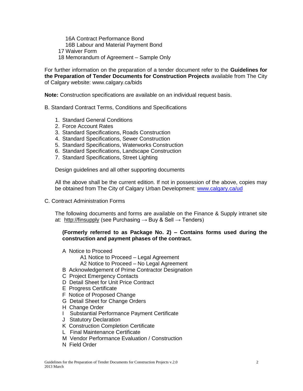16A Contract Performance Bond 16B Labour and Material Payment Bond 17 Waiver Form 18 Memorandum of Agreement – Sample Only

For further information on the preparation of a tender document refer to the **Guidelines for the Preparation of Tender Documents for Construction Projects** available from The City of Calgary website: www.calgary.ca/bids

**Note:** Construction specifications are available on an individual request basis.

- B. Standard Contract Terms, Conditions and Specifications
	- 1. Standard General Conditions
	- 2. Force Account Rates
	- 3. Standard Specifications, Roads Construction
	- 4. Standard Specifications, Sewer Construction
	- 5. Standard Specifications, Waterworks Construction
	- 6. Standard Specifications, Landscape Construction
	- 7. Standard Specifications, Street Lighting

Design guidelines and all other supporting documents

All the above shall be the current edition. If not in possession of the above, copies may be obtained from The City of Calgary Urban Development: [www.calgary.ca/ud](http://www.calgary.ca/ud) 

C. Contract Administration Forms

The following documents and forms are available on the Finance & Supply intranet site at: [http://finsupply](http://finsupply/) (see Purchasing  $\rightarrow$  Buy & Sell  $\rightarrow$  Tenders)

#### **(Formerly referred to as Package No. 2) – Contains forms used during the construction and payment phases of the contract.**

- A Notice to Proceed
	- A1 Notice to Proceed Legal Agreement
	- A2 Notice to Proceed No Legal Agreement
- B Acknowledgement of Prime Contractor Designation
- C Project Emergency Contacts
- D Detail Sheet for Unit Price Contract
- E Progress Certificate
- F Notice of Proposed Change
- G Detail Sheet for Change Orders
- H Change Order
- I Substantial Performance Payment Certificate
- J Statutory Declaration
- K Construction Completion Certificate
- L Final Maintenance Certificate
- M Vendor Performance Evaluation / Construction
- N Field Order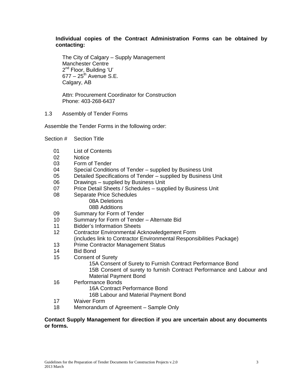### **Individual copies of the Contract Administration Forms can be obtained by contacting:**

The City of Calgary – Supply Management Manchester Centre 2<sup>nd</sup> Floor, Building 'U'  $677 - 25$ <sup>th</sup> Avenue S.E. Calgary, AB

Attn: Procurement Coordinator for Construction Phone: 403-268-6437

1.3 Assembly of Tender Forms

Assemble the Tender Forms in the following order:

- Section # Section Title
	- 01 List of Contents
	- 02 **Notice**

08

- 03 Form of Tender
- 04 Special Conditions of Tender – supplied by Business Unit
- 05 Detailed Specifications of Tender – supplied by Business Unit
- 06 Drawings – supplied by Business Unit
- 07 Price Detail Sheets / Schedules – supplied by Business Unit
	- Separate Price Schedules
		- 08A Deletions
		- 08B Additions
- 09 Summary for Form of Tender
- 10 Summary for Form of Tender – Alternate Bid
- 11 Bidder"s Information Sheets
- 12 Contractor Environmental Acknowledgement Form (includes link to Contractor Environmental Responsibilities Package)
- 13 Prime Contractor Management Status
- 14 Bid Bond
- 15 Consent of Surety
	- 15A Consent of Surety to Furnish Contract Performance Bond
	- 15B Consent of surety to furnish Contract Performance and Labour and Material Payment Bond
- 16 Performance Bonds
	- 16A Contract Performance Bond
	- 16B Labour and Material Payment Bond
- 17 Waiver Form
- 18 Memorandum of Agreement – Sample Only

#### **Contact Supply Management for direction if you are uncertain about any documents or forms.**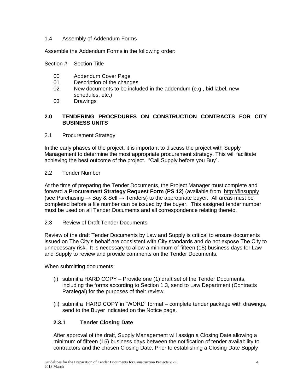# 1.4 Assembly of Addendum Forms

Assemble the Addendum Forms in the following order:

Section # Section Title

- 00 Addendum Cover Page
- 01 Description of the changes
- 02 New documents to be included in the addendum (e.g., bid label, new schedules, etc.)
- 03 **Drawings**

# **2.0 TENDERING PROCEDURES ON CONSTRUCTION CONTRACTS FOR CITY BUSINESS UNITS**

2.1 Procurement Strategy

In the early phases of the project, it is important to discuss the project with Supply Management to determine the most appropriate procurement strategy. This will facilitate achieving the best outcome of the project. "Call Supply before you Buy".

#### 2.2 Tender Number

At the time of preparing the Tender Documents, the Project Manager must complete and forward a **Procurement Strategy Request Form (PS 12)** (available from [http://finsupply](http://finsupply/) (see Purchasing  $\rightarrow$  Buy & Sell  $\rightarrow$  Tenders) to the appropriate buyer. All areas must be completed before a file number can be issued by the buyer. This assigned tender number must be used on all Tender Documents and all correspondence relating thereto.

#### 2.3 Review of Draft Tender Documents

Review of the draft Tender Documents by Law and Supply is critical to ensure documents issued on The City"s behalf are consistent with City standards and do not expose The City to unnecessary risk. It is necessary to allow a minimum of fifteen (15) business days for Law and Supply to review and provide comments on the Tender Documents.

When submitting documents:

- (i) submit a HARD COPY Provide one (1) draft set of the Tender Documents, including the forms according to Section 1.3, send to Law Department (Contracts Paralegal) for the purposes of their review.
- (ii) submit a HARD COPY in "WORD" format complete tender package with drawings, send to the Buyer indicated on the Notice page.

# **2.3.1 Tender Closing Date**

After approval of the draft, Supply Management will assign a Closing Date allowing a minimum of fifteen (15) business days between the notification of tender availability to contractors and the chosen Closing Date. Prior to establishing a Closing Date Supply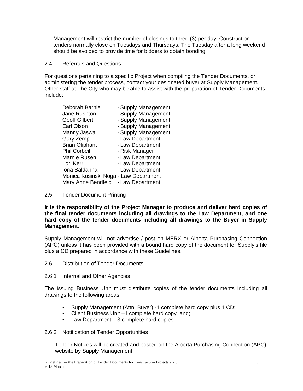Management will restrict the number of closings to three (3) per day. Construction tenders normally close on Tuesdays and Thursdays. The Tuesday after a long weekend should be avoided to provide time for bidders to obtain bonding.

#### 2.4 Referrals and Questions

For questions pertaining to a specific Project when compiling the Tender Documents, or administering the tender process, contact your designated buyer at Supply Management. Other staff at The City who may be able to assist with the preparation of Tender Documents include:

| Deborah Barnie                        | - Supply Management |
|---------------------------------------|---------------------|
| Jane Rushton                          | - Supply Management |
| <b>Geoff Gilbert</b>                  | - Supply Management |
| Earl Olson                            | - Supply Management |
| Manny Jaswal                          | - Supply Management |
| Gary Zemp                             | - Law Department    |
| <b>Brian Oliphant</b>                 | - Law Department    |
| <b>Phil Corbeil</b>                   | - Risk Manager      |
| Marnie Rusen                          | - Law Department    |
| Lori Kerr                             | - Law Department    |
| Iona Saldanha                         | - Law Department    |
| Monica Kosinski Noga - Law Department |                     |
| Mary Anne Bendfeld                    | - Law Department    |
|                                       |                     |

2.5 Tender Document Printing

**It is the responsibility of the Project Manager to produce and deliver hard copies of the final tender documents including all drawings to the Law Department, and one hard copy of the tender documents including all drawings to the Buyer in Supply Management.** 

Supply Management will not advertise / post on MERX or Alberta Purchasing Connection (APC) unless it has been provided with a bound hard copy of the document for Supply"s file plus a CD prepared in accordance with these Guidelines.

- 2.6 Distribution of Tender Documents
- 2.6.1 Internal and Other Agencies

The issuing Business Unit must distribute copies of the tender documents including all drawings to the following areas:

- Supply Management (Attn: Buyer) -1 complete hard copy plus 1 CD;
- Client Business Unit I complete hard copy and;
- Law Department 3 complete hard copies.

#### 2.6.2 Notification of Tender Opportunities

Tender Notices will be created and posted on the Alberta Purchasing Connection (APC) website by Supply Management.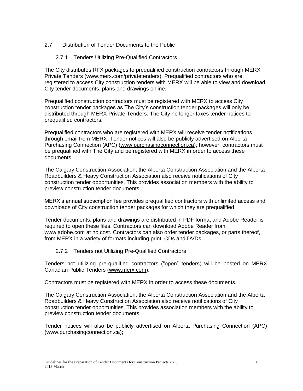# 2.7 Distribution of Tender Documents to the Public

### 2.7.1 Tenders Utilizing Pre-Qualified Contractors

The City distributes RFX packages to prequalified construction contractors through MERX Private Tenders [\(www.merx.com/privatetenders\)](http://www.merx.com/privatetenders). Prequalified contractors who are registered to access City construction tenders with MERX will be able to view and download City tender documents, plans and drawings online.

Prequalified construction contractors must be registered with MERX to access City construction tender packages as The City"s construction tender packages will only be distributed through MERX Private Tenders. The City no longer faxes tender notices to prequalified contractors.

Prequalified contractors who are registered with MERX will receive tender notifications through email from MERX. Tender notices will also be publicly advertised on Alberta Purchasing Connection (APC) [\(www.purchasingconnection.ca\)](http://www.purchasingconnection.ca/); however, contractors must be prequalified with The City and be registered with MERX in order to access these documents.

The Calgary Construction Association, the Alberta Construction Association and the Alberta Roadbuilders & Heavy Construction Association also receive notifications of City construction tender opportunities. This provides association members with the ability to preview construction tender documents.

MERX"s annual subscription fee provides prequalified contractors with unlimited access and downloads of City construction tender packages for which they are prequalified.

Tender documents, plans and drawings are distributed in PDF format and Adobe Reader is required to open these files. Contractors can download Adobe Reader from [www.adobe.com](http://www.adobe.com/) at no cost. Contractors can also order tender packages, or parts thereof, from MERX in a variety of formats including print, CDs and DVDs.

#### 2.7.2 Tenders not Utilizing Pre-Qualified Contractors

Tenders not utilizing pre-qualified contractors ("open" tenders) will be posted on MERX Canadian Public Tenders [\(www.merx.com\)](http://www.merx.com/).

Contractors must be registered with MERX in order to access these documents.

The Calgary Construction Association, the Alberta Construction Association and the Alberta Roadbuilders & Heavy Construction Association also receive notifications of City construction tender opportunities. This provides association members with the ability to preview construction tender documents.

Tender notices will also be publicly advertised on Alberta Purchasing Connection (APC) [\(www.purchasingconnection.ca\)](http://www.purchasingconnection.ca/);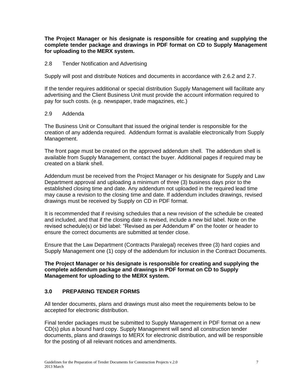**The Project Manager or his designate is responsible for creating and supplying the complete tender package and drawings in PDF format on CD to Supply Management for uploading to the MERX system.** 

#### 2.8 Tender Notification and Advertising

Supply will post and distribute Notices and documents in accordance with 2.6.2 and 2.7.

If the tender requires additional or special distribution Supply Management will facilitate any advertising and the Client Business Unit must provide the account information required to pay for such costs. (e.g. newspaper, trade magazines, etc.)

#### 2.9 Addenda

The Business Unit or Consultant that issued the original tender is responsible for the creation of any addenda required. Addendum format is available electronically from Supply Management.

The front page must be created on the approved addendum shell. The addendum shell is available from Supply Management, contact the buyer. Additional pages if required may be created on a blank shell.

Addendum must be received from the Project Manager or his designate for Supply and Law Department approval and uploading a minimum of three (3) business days prior to the established closing time and date. Any addendum not uploaded in the required lead time may cause a revision to the closing time and date. If addendum includes drawings, revised drawings must be received by Supply on CD in PDF format.

It is recommended that if revising schedules that a new revision of the schedule be created and included, and that if the closing date is revised, include a new bid label. Note on the revised schedule(s) or bid label: "Revised as per Addendum #" on the footer or header to ensure the correct documents are submitted at tender close.

Ensure that the Law Department (Contracts Paralegal) receives three (3) hard copies and Supply Management one (1) copy of the addendum for inclusion in the Contract Documents.

#### **The Project Manager or his designate is responsible for creating and supplying the complete addendum package and drawings in PDF format on CD to Supply Management for uploading to the MERX system.**

# **3.0 PREPARING TENDER FORMS**

All tender documents, plans and drawings must also meet the requirements below to be accepted for electronic distribution.

Final tender packages must be submitted to Supply Management in PDF format on a new CD(s) plus a bound hard copy. Supply Management will send all construction tender documents, plans and drawings to MERX for electronic distribution, and will be responsible for the posting of all relevant notices and amendments.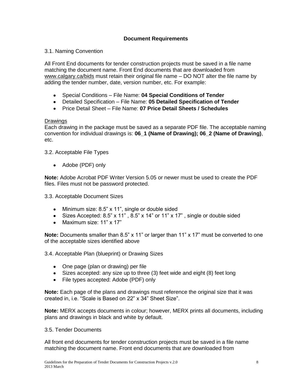# **Document Requirements**

#### 3.1. Naming Convention

All Front End documents for tender construction projects must be saved in a file name matching the document name. Front End documents that are downloaded from [www.calgary.ca/bids](http://www.calgary.ca/bids) must retain their original file name – DO NOT alter the file name by adding the tender number, date, version number, etc. For example:

- Special Conditions File Name: **04 Special Conditions of Tender**
- Detailed Specification File Name: **05 Detailed Specification of Tender**
- Price Detail Sheet File Name: **07 Price Detail Sheets / Schedules**

# **Drawings**

Each drawing in the package must be saved as a separate PDF file. The acceptable naming convention for individual drawings is: **06\_1 (Name of Drawing); 06\_2 (Name of Drawing)**, etc.

3.2. Acceptable File Types

• Adobe (PDF) only

**Note:** Adobe Acrobat PDF Writer Version 5.05 or newer must be used to create the PDF files. Files must not be password protected.

3.3. Acceptable Document Sizes

- Minimum size: 8.5" x 11", single or double sided
- Sizes Accepted: 8.5" x 11" , 8.5" x 14" or 11" x 17" , single or double sided
- Maximum size: 11" x 17"

**Note:** Documents smaller than 8.5" x 11" or larger than 11" x 17" must be converted to one of the acceptable sizes identified above

3.4. Acceptable Plan (blueprint) or Drawing Sizes

- One page (plan or drawing) per file
- Sizes accepted: any size up to three (3) feet wide and eight (8) feet long
- File types accepted: Adobe (PDF) only

**Note:** Each page of the plans and drawings must reference the original size that it was created in, i.e. "Scale is Based on 22" x 34" Sheet Size".

**Note:** MERX accepts documents in colour; however, MERX prints all documents, including plans and drawings in black and white by default.

#### 3.5. Tender Documents

All front end documents for tender construction projects must be saved in a file name matching the document name. Front end documents that are downloaded from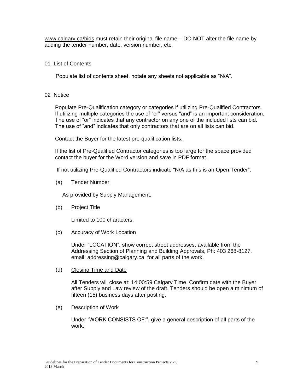[www.calgary.ca/bids](http://www.calgary.ca/tenders) must retain their original file name – DO NOT alter the file name by adding the tender number, date, version number, etc.

#### 01 List of Contents

Populate list of contents sheet, notate any sheets not applicable as "N/A".

02 Notice

Populate Pre-Qualification category or categories if utilizing Pre-Qualified Contractors. If utilizing multiple categories the use of "or" versus "and" is an important consideration. The use of "or" indicates that any contractor on any one of the included lists can bid. The use of "and" indicates that only contractors that are on all lists can bid.

Contact the Buyer for the latest pre-qualification lists.

If the list of Pre-Qualified Contractor categories is too large for the space provided contact the buyer for the Word version and save in PDF format.

If not utilizing Pre-Qualified Contractors indicate "N/A as this is an Open Tender".

(a) Tender Number

As provided by Supply Management.

(b) Project Title

Limited to 100 characters.

(c) Accuracy of Work Location

Under "LOCATION", show correct street addresses, available from the Addressing Section of Planning and Building Approvals, Ph: 403 268-8127, email: [addressing@calgary.ca](mailto:addressing@calgary.ca) for all parts of the work.

(d) Closing Time and Date

All Tenders will close at: 14:00:59 Calgary Time. Confirm date with the Buyer after Supply and Law review of the draft. Tenders should be open a minimum of fifteen (15) business days after posting.

(e) Description of Work

Under "WORK CONSISTS OF:", give a general description of all parts of the work.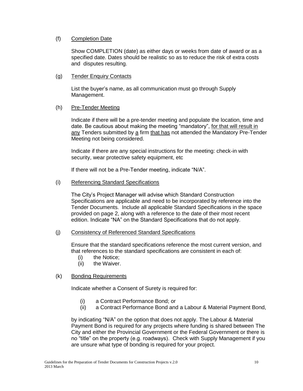#### (f) Completion Date

Show COMPLETION (date) as either days or weeks from date of award or as a specified date. Dates should be realistic so as to reduce the risk of extra costs and disputes resulting.

#### (g) Tender Enquiry Contacts

List the buyer"s name, as all communication must go through Supply Management.

#### (h) Pre-Tender Meeting

Indicate if there will be a pre-tender meeting and populate the location, time and date. Be cautious about making the meeting "mandatory", for that will result in any Tenders submitted by a firm that has not attended the Mandatory Pre-Tender Meeting not being considered.

Indicate if there are any special instructions for the meeting: check-in with security, wear protective safety equipment, etc

If there will not be a Pre-Tender meeting, indicate "N/A".

#### (i) Referencing Standard Specifications

The City"s Project Manager will advise which Standard Construction Specifications are applicable and need to be incorporated by reference into the Tender Documents. Include all applicable Standard Specifications in the space provided on page 2, along with a reference to the date of their most recent edition. Indicate "NA" on the Standard Specifications that do not apply.

#### (j) Consistency of Referenced Standard Specifications

Ensure that the standard specifications reference the most current version, and that references to the standard specifications are consistent in each of:

- (i) the Notice;
- (ii) the Waiver.

#### (k) Bonding Requirements

Indicate whether a Consent of Surety is required for:

- (i) a Contract Performance Bond; or
- (ii) a Contract Performance Bond and a Labour & Material Payment Bond,

by indicating "N/A" on the option that does not apply. The Labour & Material Payment Bond is required for any projects where funding is shared between The City and either the Provincial Government or the Federal Government or there is no "title" on the property (e.g. roadways). Check with Supply Management if you are unsure what type of bonding is required for your project.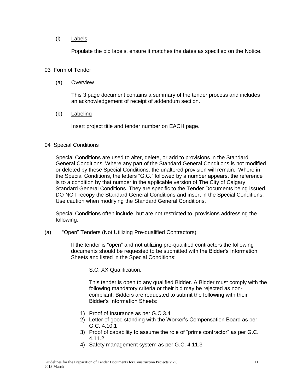#### (l) Labels

Populate the bid labels, ensure it matches the dates as specified on the Notice.

#### 03 Form of Tender

#### (a) Overview

This 3 page document contains a summary of the tender process and includes an acknowledgement of receipt of addendum section.

#### (b) Labeling

Insert project title and tender number on EACH page.

#### 04 Special Conditions

Special Conditions are used to alter, delete, or add to provisions in the Standard General Conditions. Where any part of the Standard General Conditions is not modified or deleted by these Special Conditions, the unaltered provision will remain. Where in the Special Conditions, the letters "G.C." followed by a number appears, the reference is to a condition by that number in the applicable version of The City of Calgary Standard General Conditions. They are specific to the Tender Documents being issued. DO NOT recopy the Standard General Conditions and insert in the Special Conditions. Use caution when modifying the Standard General Conditions.

Special Conditions often include, but are not restricted to, provisions addressing the following:

#### (a) "Open" Tenders (Not Utilizing Pre-qualified Contractors)

If the tender is "open" and not utilizing pre-qualified contractors the following documents should be requested to be submitted with the Bidder"s Information Sheets and listed in the Special Conditions:

S.C. XX Qualification:

This tender is open to any qualified Bidder. A Bidder must comply with the following mandatory criteria or their bid may be rejected as noncompliant. Bidders are requested to submit the following with their Bidder"s Information Sheets:

- 1) Proof of Insurance as per G.C 3.4
- 2) Letter of good standing with the Worker"s Compensation Board as per G.C. 4.10.1
- 3) Proof of capability to assume the role of "prime contractor" as per G.C. 4.11.2
- 4) Safety management system as per G.C. 4.11.3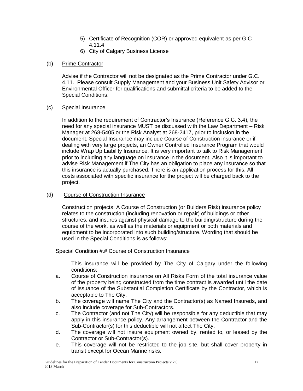- 5) Certificate of Recognition (COR) or approved equivalent as per G.C 4.11.4
- 6) City of Calgary Business License

# (b) Prime Contractor

Advise if the Contractor will not be designated as the Prime Contractor under G.C. 4.11. Please consult Supply Management and your Business Unit Safety Advisor or Environmental Officer for qualifications and submittal criteria to be added to the Special Conditions.

#### (c) Special Insurance

In addition to the requirement of Contractor"s Insurance (Reference G.C. 3.4), the need for any special insurance MUST be discussed with the Law Department – Risk Manager at 268-5405 or the Risk Analyst at 268-2417, prior to inclusion in the document. Special Insurance may include Course of Construction insurance or if dealing with very large projects, an Owner Controlled Insurance Program that would include Wrap Up Liability Insurance. It is very important to talk to Risk Management prior to including any language on insurance in the document. Also it is important to advise Risk Management if The City has an obligation to place any insurance so that this insurance is actually purchased. There is an application process for this. All costs associated with specific insurance for the project will be charged back to the project.

# (d) Course of Construction Insurance

Construction projects: A Course of Construction (or Builders Risk) insurance policy relates to the construction (including renovation or repair) of buildings or other structures, and insures against physical damage to the building/structure during the course of the work, as well as the materials or equipment or both materials and equipment to be incorporated into such building/structure. Wording that should be used in the Special Conditions is as follows:

Special Condition #.# Course of Construction Insurance

This insurance will be provided by The City of Calgary under the following conditions:

- a. Course of Construction insurance on All Risks Form of the total insurance value of the property being constructed from the time contract is awarded until the date of issuance of the Substantial Completion Certificate by the Contractor, which is acceptable to The City.
- b. The coverage will name The City and the Contractor(s) as Named Insureds, and also include coverage for Sub-Contractors.
- c. The Contractor (and not The City) will be responsible for any deductible that may apply in this insurance policy. Any arrangement between the Contractor and the Sub-Contractor(s) for this deductible will not affect The City.
- d. The coverage will not insure equipment owned by, rented to, or leased by the Contractor or Sub-Contractor(s).
- e. This coverage will not be restricted to the job site, but shall cover property in transit except for Ocean Marine risks.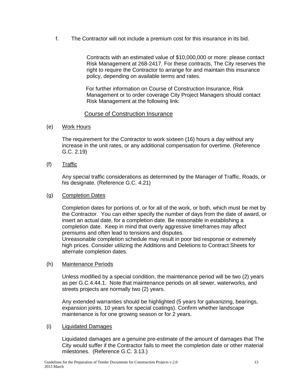f. The Contractor will not include a premium cost for this insurance in its bid.

Contracts with an estimated value of \$10,000,000 or more: please contact Risk Management at 268-2417. For these contracts, The City reserves the right to require the Contractor to arrange for and maintain this insurance policy, depending on available terms and rates.

For further information on Course of Construction Insurance, Risk Management or to order coverage City Project Managers should contact Risk Management at the following link:

# [Course of Construction Insurance](http://mycity/OurOrg/Dept/CorporateAdmin/LawDepartment/RiskClaims/risk/Pages/CCI.aspx)

(e) Work Hours

The requirement for the Contractor to work sixteen (16) hours a day without any increase in the unit rates, or any additional compensation for overtime. (Reference G.C. 2.19)

(f) Traffic

Any special traffic considerations as determined by the Manager of Traffic, Roads, or his designate. (Reference G.C. 4.21)

#### (g) Completion Dates

Completion dates for portions of, or for all of the work, or both, which must be met by the Contractor. You can either specify the number of days from the date of award, or insert an actual date, for a completion date. Be reasonable in establishing a completion date. Keep in mind that overly aggressive timeframes may affect premiums and often lead to tensions and disputes.

Unreasonable completion schedule may result in poor bid response or extremely high prices. Consider utilizing the Additions and Deletions to Contract Sheets for alternate completion dates.

(h) Maintenance Periods

Unless modified by a special condition, the maintenance period will be two (2) years as per G.C.4.44.1. Note that maintenance periods on all sewer, waterworks, and streets projects are normally two (2) years.

Any extended warranties should be highlighted (5 years for galvanizing, bearings, expansion joints, 10 years for special coatings). Confirm whether landscape maintenance is for one growing season or for 2 years.

#### (i) Liquidated Damages

Liquidated damages are a genuine pre-estimate of the amount of damages that The City would suffer if the Contractor fails to meet the completion date or other material milestones. (Reference G.C. 3.13.)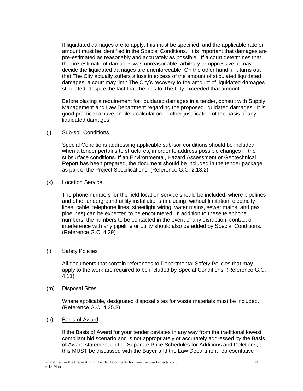If liquidated damages are to apply, this must be specified, and the applicable rate or amount must be identified in the Special Conditions. It is important that damages are pre-estimated as reasonably and accurately as possible. If a court determines that the pre-estimate of damages was unreasonable, arbitrary or oppressive, it may decide the liquidated damages are unenforceable. On the other hand, if it turns out that The City actually suffers a loss in excess of the amount of stipulated liquidated damages, a court may limit The City"s recovery to the amount of liquidated damages stipulated, despite the fact that the loss to The City exceeded that amount.

Before placing a requirement for liquidated damages in a tender, consult with Supply Management and Law Department regarding the proposed liquidated damages. It is good practice to have on file a calculation or other justification of the basis of any liquidated damages.

#### (j) Sub-soil Conditions

Special Conditions addressing applicable sub-soil conditions should be included when a tender pertains to structures, in order to address possible changes in the subsurface conditions. If an Environmental, Hazard Assessment or Geotechnical Report has been prepared, the document should be included in the tender package as part of the Project Specifications. (Reference G.C. 2.13.2)

#### (k) Location Service

The phone numbers for the field location service should be included, where pipelines and other underground utility installations (including, without limitation, electricity lines, cable, telephone lines, streetlight wiring, water mains, sewer mains, and gas pipelines) can be expected to be encountered. In addition to these telephone numbers, the numbers to be contacted in the event of any disruption, contact or interference with any pipeline or utility should also be added by Special Conditions. (Reference G.C. 4.29)

#### (l) Safety Policies

All documents that contain references to Departmental Safety Policies that may apply to the work are required to be included by Special Conditions. (Reference G.C. 4.11)

(m) Disposal Sites

Where applicable, designated disposal sites for waste materials must be included. (Reference G.C. 4.35.8)

(n) Basis of Award

If the Basis of Award for your tender deviates in any way from the traditional lowest compliant bid scenario and is not appropriately or accurately addressed by the Basis of Award statement on the Separate Price Schedules for Additions and Deletions, this MUST be discussed with the Buyer and the Law Department representative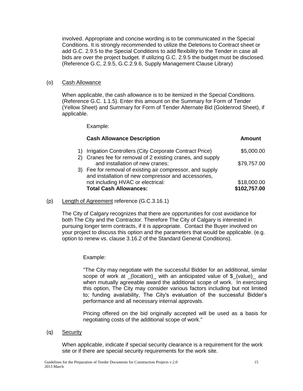involved. Appropriate and concise wording is to be communicated in the Special Conditions. It is strongly recommended to utilize the Deletions to Contract sheet or add G.C. 2.9.5 to the Special Conditions to add flexibility to the Tender in case all bids are over the project budget. If utilizing G.C. 2.9.5 the budget must be disclosed. (Reference G.C, 2.9.5, G.C.2.9.6, Supply Management Clause Library)

#### (o) Cash Allowance

When applicable, the cash allowance is to be itemized in the Special Conditions. (Reference G.C. 1.1.5). Enter this amount on the Summary for Form of Tender (Yellow Sheet) and Summary for Form of Tender Alternate Bid (Goldenrod Sheet), if applicable.

Example:

| <b>Cash Allowance Description</b>                                                                                | Amount       |
|------------------------------------------------------------------------------------------------------------------|--------------|
| 1) Irrigation Controllers (City Corporate Contract Price)                                                        | \$5,000.00   |
| 2) Cranes fee for removal of 2 existing cranes, and supply<br>and installation of new cranes:                    | \$79,757.00  |
| 3) Fee for removal of existing air compressor, and supply<br>and installation of new compressor and accessories, |              |
| not including HVAC or electrical:                                                                                | \$18,000.00  |
| <b>Total Cash Allowances:</b>                                                                                    | \$102,757.00 |

(p) Length of Agreement reference (G.C.3.16.1)

The City of Calgary recognizes that there are opportunities for cost avoidance for both The City and the Contractor. Therefore The City of Calgary is interested in pursuing longer term contracts, if it is appropriate. Contact the Buyer involved on your project to discuss this option and the parameters that would be applicable. (e.g. option to renew vs. clause 3.16.2 of the Standard General Conditions).

#### Example:

"The City may negotiate with the successful Bidder for an additional, similar scope of work at (location) with an anticipated value of \$ (value) and when mutually agreeable award the additional scope of work. In exercising this option, The City may consider various factors including but not limited to; funding availability, The City's evaluation of the successful Bidder"s performance and all necessary internal approvals.

Pricing offered on the bid originally accepted will be used as a basis for negotiating costs of the additional scope of work."

(q) Security

When applicable, indicate if special security clearance is a requirement for the work site or if there are special security requirements for the work site.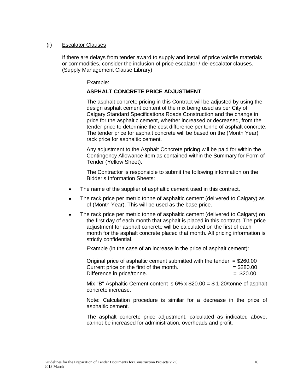#### (r) Escalator Clauses

If there are delays from tender award to supply and install of price volatile materials or commodities, consider the inclusion of price escalator / de-escalator clauses. (Supply Management Clause Library)

Example:

#### **ASPHALT CONCRETE PRICE ADJUSTMENT**

The asphalt concrete pricing in this Contract will be adjusted by using the design asphalt cement content of the mix being used as per City of Calgary Standard Specifications Roads Construction and the change in price for the asphaltic cement, whether increased or decreased, from the tender price to determine the cost difference per tonne of asphalt concrete. The tender price for asphalt concrete will be based on the (Month Year) rack price for asphaltic cement.

Any adjustment to the Asphalt Concrete pricing will be paid for within the Contingency Allowance item as contained within the Summary for Form of Tender (Yellow Sheet).

The Contractor is responsible to submit the following information on the Bidder"s Information Sheets:

- The name of the supplier of asphaltic cement used in this contract.  $\bullet$
- The rack price per metric tonne of asphaltic cement (delivered to Calgary) as  $\bullet$ of (Month Year). This will be used as the base price.
- The rack price per metric tonne of asphaltic cement (delivered to Calgary) on  $\bullet$ the first day of each month that asphalt is placed in this contract. The price adjustment for asphalt concrete will be calculated on the first of each month for the asphalt concrete placed that month. All pricing information is strictly confidential.

Example (in the case of an increase in the price of asphalt cement):

Original price of asphaltic cement submitted with the tender  $= $260.00$ Current price on the first of the month.  $= $280.00$  $Difference in price/tonne.$  = \$20.00

Mix "B" Asphaltic Cement content is  $6\%$  x  $$20.00 = $ 1.20$ /tonne of asphalt concrete increase.

Note: Calculation procedure is similar for a decrease in the price of asphaltic cement.

The asphalt concrete price adjustment, calculated as indicated above, cannot be increased for administration, overheads and profit.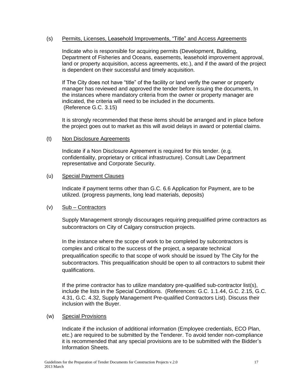#### (s) Permits, Licenses, Leasehold Improvements, "Title" and Access Agreements

Indicate who is responsible for acquiring permits (Development, Building, Department of Fisheries and Oceans, easements, leasehold improvement approval, land or property acquisition, access agreements, etc.), and if the award of the project is dependent on their successful and timely acquisition.

If The City does not have "title" of the facility or land verify the owner or property manager has reviewed and approved the tender before issuing the documents, In the instances where mandatory criteria from the owner or property manager are indicated, the criteria will need to be included in the documents. (Reference G.C. 3.15)

It is strongly recommended that these items should be arranged and in place before the project goes out to market as this will avoid delays in award or potential claims.

#### (t) Non Disclosure Agreements

Indicate if a Non Disclosure Agreement is required for this tender. (e.g. confidentiality, proprietary or critical infrastructure). Consult Law Department representative and Corporate Security.

#### (u) Special Payment Clauses

Indicate if payment terms other than G.C. 6.6 Application for Payment, are to be utilized. (progress payments, long lead materials, deposits)

#### (v) Sub – Contractors

Supply Management strongly discourages requiring prequalified prime contractors as subcontractors on City of Calgary construction projects.

In the instance where the scope of work to be completed by subcontractors is complex and critical to the success of the project, a separate technical prequalification specific to that scope of work should be issued by The City for the subcontractors. This prequalification should be open to all contractors to submit their qualifications.

If the prime contractor has to utilize mandatory pre-qualified sub-contractor list(s), include the lists in the Special Conditions. (References: G.C. 1.1.44, G.C. 2.15, G.C. 4.31, G.C. 4.32, Supply Management Pre-qualified Contractors List). Discuss their inclusion with the Buyer.

#### (w) Special Provisions

Indicate if the inclusion of additional information (Employee credentials, ECO Plan, etc.) are required to be submitted by the Tenderer. To avoid tender non-compliance it is recommended that any special provisions are to be submitted with the Bidder"s Information Sheets.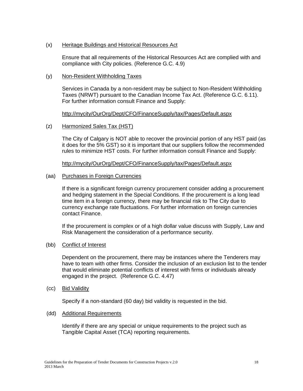#### (x) Heritage Buildings and Historical Resources Act

Ensure that all requirements of the Historical Resources Act are complied with and compliance with City policies. (Reference G.C. 4.9)

#### (y) Non-Resident Withholding Taxes

Services in Canada by a non-resident may be subject to Non-Resident Withholding Taxes (NRWT) pursuant to the Canadian Income Tax Act. (Reference G.C. 6.11). For further information consult Finance and Supply:

#### <http://mycity/OurOrg/Dept/CFO/FinanceSupply/tax/Pages/Default.aspx>

#### (z) Harmonized Sales Tax (HST)

The City of Calgary is NOT able to recover the provincial portion of any HST paid (as it does for the 5% GST) so it is important that our suppliers follow the recommended rules to minimize HST costs. For further information consult Finance and Supply:

<http://mycity/OurOrg/Dept/CFO/FinanceSupply/tax/Pages/Default.aspx>

#### (aa) Purchases in Foreign Currencies

If there is a significant foreign currency procurement consider adding a procurement and hedging statement in the Special Conditions. If the procurement is a long lead time item in a foreign currency, there may be financial risk to The City due to currency exchange rate fluctuations. For further information on foreign currencies contact Finance.

If the procurement is complex or of a high dollar value discuss with Supply, Law and Risk Management the consideration of a performance security.

#### (bb) Conflict of Interest

Dependent on the procurement, there may be instances where the Tenderers may have to team with other firms. Consider the inclusion of an exclusion list to the tender that would eliminate potential conflicts of interest with firms or individuals already engaged in the project. (Reference G.C. 4.47)

(cc) Bid Validity

Specify if a non-standard (60 day) bid validity is requested in the bid.

#### (dd) Additional Requirements

Identify if there are any special or unique requirements to the project such as Tangible Capital Asset (TCA) reporting requirements.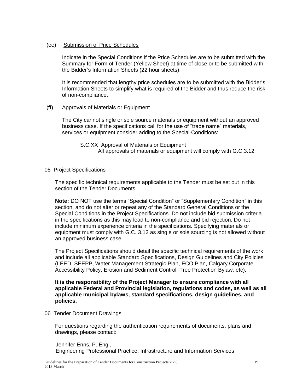#### (ee) Submission of Price Schedules

Indicate in the Special Conditions if the Price Schedules are to be submitted with the Summary for Form of Tender (Yellow Sheet) at time of close or to be submitted with the Bidder"s Information Sheets (22 hour sheets).

It is recommended that lengthy price schedules are to be submitted with the Bidder"s Information Sheets to simplify what is required of the Bidder and thus reduce the risk of non-compliance.

#### (ff) Approvals of Materials or Equipment

The City cannot single or sole source materials or equipment without an approved business case. If the specifications call for the use of "trade name" materials, services or equipment consider adding to the Special Conditions:

S.C.XX Approval of Materials or Equipment All approvals of materials or equipment will comply with G.C.3.12

#### 05 Project Specifications

The specific technical requirements applicable to the Tender must be set out in this section of the Tender Documents.

**Note:** DO NOT use the terms "Special Condition" or "Supplementary Condition" in this section, and do not alter or repeat any of the Standard General Conditions or the Special Conditions in the Project Specifications. Do not include bid submission criteria in the specifications as this may lead to non-compliance and bid rejection. Do not include minimum experience criteria in the specifications. Specifying materials or equipment must comply with G.C. 3.12 as single or sole sourcing is not allowed without an approved business case.

The Project Specifications should detail the specific technical requirements of the work and include all applicable Standard Specifications, Design Guidelines and City Policies (LEED, SEEPP, Water Management Strategic Plan, ECO Plan, Calgary Corporate Accessibility Policy, Erosion and Sediment Control, Tree Protection Bylaw, etc).

**It is the responsibility of the Project Manager to ensure compliance with all applicable Federal and Provincial legislation, regulations and codes, as well as all applicable municipal bylaws, standard specifications, design guidelines, and policies.**

06 Tender Document Drawings

For questions regarding the authentication requirements of documents, plans and drawings, please contact:

Jennifer Enns, P. Eng., Engineering Professional Practice, Infrastructure and Information Services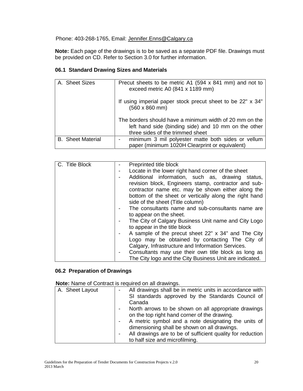# Phone: 403-268-1765, Email: [Jennifer.Enns@Calgary.ca](mailto:Jennifer.Enns@Calgary.ca)

**Note:** Each page of the drawings is to be saved as a separate PDF file. Drawings must be provided on CD. Refer to Section 3.0 for further information.

# **06.1 Standard Drawing Sizes and Materials**

| A. Sheet Sizes           | Precut sheets to be metric A1 (594 x 841 mm) and not to<br>exceed metric A0 (841 x 1189 mm)                                                         |
|--------------------------|-----------------------------------------------------------------------------------------------------------------------------------------------------|
|                          | If using imperial paper stock precut sheet to be 22" x 34"<br>$(560 \times 860 \text{ mm})$                                                         |
|                          | The borders should have a minimum width of 20 mm on the<br>left hand side (binding side) and 10 mm on the other<br>three sides of the trimmed sheet |
| <b>B.</b> Sheet Material | minimum 3 mil polyester matte both sides or vellum<br>paper (minimum 1020H Clearprint or equivalent)                                                |

| C. Title Block | Preprinted title block                                  |
|----------------|---------------------------------------------------------|
|                | Locate in the lower right hand corner of the sheet      |
|                | Additional information, such as, drawing status,        |
|                | revision block, Engineers stamp, contractor and sub-    |
|                | contractor name etc. may be shown either along the      |
|                | bottom of the sheet or vertically along the right hand  |
|                | side of the sheet (Title column)                        |
|                | The consultants name and sub-consultants name are       |
|                | to appear on the sheet.                                 |
|                | The City of Calgary Business Unit name and City Logo    |
|                | to appear in the title block                            |
|                | A sample of the precut sheet 22" x 34" and The City     |
|                | Logo may be obtained by contacting The City of          |
|                | Calgary, Infrastructure and Information Services.       |
|                | Consultants may use their own title block as long as    |
|                | The City logo and the City Business Unit are indicated. |

# **06.2 Preparation of Drawings**

**Note:** Name of Contract is required on all drawings.

| A. Sheet Layout | All drawings shall be in metric units in accordance with<br>SI standards approved by the Standards Council of |
|-----------------|---------------------------------------------------------------------------------------------------------------|
|                 | Canada                                                                                                        |
|                 | North arrows to be shown on all appropriate drawings                                                          |
|                 | on the top right hand corner of the drawing.                                                                  |
|                 | A metric symbol and a note designating the units of                                                           |
|                 | dimensioning shall be shown on all drawings.                                                                  |
|                 | All drawings are to be of sufficient quality for reduction                                                    |
|                 | to half size and microfilming.                                                                                |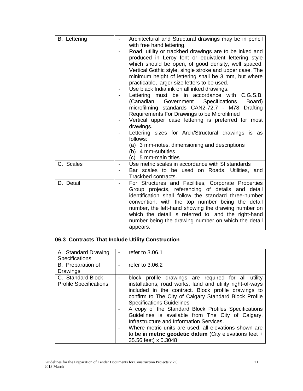| <b>B.</b> Lettering | Architectural and Structural drawings may be in pencil<br>with free hand lettering.<br>Road, utility or trackbed drawings are to be inked and<br>produced in Leroy font or equivalent lettering style<br>which should be open, of good density, well spaced,<br>Vertical Gothic style, single stroke and upper case. The<br>minimum height of lettering shall be 3 mm, but where<br>practicable, larger size letters to be used.<br>Use black India ink on all inked drawings.<br>Lettering must be in accordance with C.G.S.B.<br>(Canadian Government<br>Specifications<br>Board)<br>microfilming standards CAN2-72.7 - M78<br><b>Drafting</b><br>Requirements For Drawings to be Microfilmed<br>Vertical upper case lettering is preferred for most<br>drawings.<br>Lettering sizes for Arch/Structural drawings is as<br>follows:<br>(a) 3 mm-notes, dimensioning and descriptions<br>(b) 4 mm-subtitles |
|---------------------|--------------------------------------------------------------------------------------------------------------------------------------------------------------------------------------------------------------------------------------------------------------------------------------------------------------------------------------------------------------------------------------------------------------------------------------------------------------------------------------------------------------------------------------------------------------------------------------------------------------------------------------------------------------------------------------------------------------------------------------------------------------------------------------------------------------------------------------------------------------------------------------------------------------|
| C. Scales           | (c) 5 mm-main titles<br>Use metric scales in accordance with SI standards                                                                                                                                                                                                                                                                                                                                                                                                                                                                                                                                                                                                                                                                                                                                                                                                                                    |
|                     | Bar scales to be used on Roads, Utilities, and<br>Trackbed contracts.                                                                                                                                                                                                                                                                                                                                                                                                                                                                                                                                                                                                                                                                                                                                                                                                                                        |
| D. Detail           | For Structures and Facilities, Corporate Properties<br>Group projects, referencing of details and detail<br>identification shall follow the standard three-number<br>convention, with the top number being the detail<br>number, the left-hand showing the drawing number on<br>which the detail is referred to, and the right-hand<br>number being the drawing number on which the detail<br>appears.                                                                                                                                                                                                                                                                                                                                                                                                                                                                                                       |

# **06.3 Contracts That Include Utility Construction**

| A. Standard Drawing<br><b>Specifications</b>       | refer to 3.06.1                                                                                                                                                                                                                                                                                                                                                                                                                                                                                                                                                            |
|----------------------------------------------------|----------------------------------------------------------------------------------------------------------------------------------------------------------------------------------------------------------------------------------------------------------------------------------------------------------------------------------------------------------------------------------------------------------------------------------------------------------------------------------------------------------------------------------------------------------------------------|
| B. Preparation of<br><b>Drawings</b>               | refer to 3.06.2                                                                                                                                                                                                                                                                                                                                                                                                                                                                                                                                                            |
| C. Standard Block<br><b>Profile Specifications</b> | block profile drawings are required for all utility<br>installations, road works, land and utility right-of-ways<br>included in the contract. Block profile drawings to<br>confirm to The City of Calgary Standard Block Profile<br><b>Specifications Guidelines</b><br>A copy of the Standard Block Profiles Specifications<br>Guidelines is available from The City of Calgary,<br>Infrastructure and Information Services.<br>Where metric units are used, all elevations shown are<br>to be in metric geodetic datum (City elevations feet $+$<br>35.56 feet) x 0.3048 |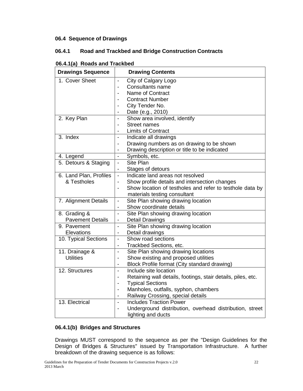# **06.4 Sequence of Drawings**

# **06.4.1 Road and Trackbed and Bridge Construction Contracts**

| <b>Drawings Sequence</b> |                              | <b>Drawing Contents</b>                                      |
|--------------------------|------------------------------|--------------------------------------------------------------|
| 1. Cover Sheet           | $\overline{\phantom{0}}$     | City of Calgary Logo                                         |
|                          |                              | <b>Consultants name</b>                                      |
|                          |                              | Name of Contract                                             |
|                          |                              | <b>Contract Number</b>                                       |
|                          |                              | City Tender No.                                              |
|                          | $\blacksquare$               | Date (e.g., 2010)                                            |
| 2. Key Plan              | $\overline{\phantom{0}}$     | Show area involved, identify                                 |
|                          | $\overline{a}$               | <b>Street names</b>                                          |
|                          |                              | <b>Limits of Contract</b>                                    |
| 3. Index                 | $\overline{a}$               | Indicate all drawings                                        |
|                          |                              | Drawing numbers as on drawing to be shown                    |
|                          |                              | Drawing description or title to be indicated                 |
| 4. Legend                | $\overline{a}$               | Symbols, etc.                                                |
| 5. Detours & Staging     | $\overline{a}$               | Site Plan                                                    |
|                          | $\overline{\phantom{a}}$     | Stages of detours                                            |
| 6. Land Plan, Profiles   | $\blacksquare$               | Indicate land areas not resolved                             |
| & Testholes              | $\overline{a}$               | Show profile details and intersection changes                |
|                          |                              | Show location of testholes and refer to testhole data by     |
|                          |                              | materials testing consultant                                 |
| 7. Alignment Details     | $\overline{\phantom{0}}$     | Site Plan showing drawing location                           |
|                          |                              | Show coordinate details                                      |
| 8. Grading &             | $\overline{a}$               | Site Plan showing drawing location                           |
| <b>Pavement Details</b>  | $\qquad \qquad \blacksquare$ | <b>Detail Drawings</b>                                       |
| 9. Pavement              | $\overline{a}$               | Site Plan showing drawing location                           |
| Elevations               | $\qquad \qquad \blacksquare$ | Detail drawings                                              |
| 10. Typical Sections     | $\overline{a}$               | Show road sections                                           |
|                          |                              | Trackbed Sections, etc.                                      |
| 11. Drainage &           | $\qquad \qquad \blacksquare$ | Site Plan showing drawing locations                          |
| <b>Utilities</b>         | $\blacksquare$               | Show existing and proposed utilities                         |
|                          | $\blacksquare$               | Block Profile format (City standard drawing)                 |
| 12. Structures           | $\overline{a}$               | Include site location                                        |
|                          | $\qquad \qquad \blacksquare$ | Retaining wall details, footings, stair details, piles, etc. |
|                          | $\qquad \qquad \blacksquare$ | <b>Typical Sections</b>                                      |
|                          | -                            | Manholes, outfalls, syphon, chambers                         |
|                          | -                            | Railway Crossing, special details                            |
| 13. Electrical           | $\blacksquare$               | <b>Includes Traction Power</b>                               |
|                          |                              | Underground distribution, overhead distribution, street      |
|                          |                              | lighting and ducts                                           |

#### **06.4.1(b) Bridges and Structures**

Drawings MUST correspond to the sequence as per the "Design Guidelines for the Design of Bridges & Structures" issued by Transportation Infrastructure. A further breakdown of the drawing sequence is as follows: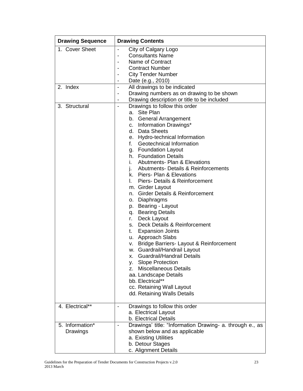| <b>Drawing Sequence</b>     | <b>Drawing Contents</b>                                                                                                                                                                                                                                                                                                                                                                                                                                                                                                                                                                                                                                                                                                                                                                                                                                                                                                                                                                                                                          |  |  |
|-----------------------------|--------------------------------------------------------------------------------------------------------------------------------------------------------------------------------------------------------------------------------------------------------------------------------------------------------------------------------------------------------------------------------------------------------------------------------------------------------------------------------------------------------------------------------------------------------------------------------------------------------------------------------------------------------------------------------------------------------------------------------------------------------------------------------------------------------------------------------------------------------------------------------------------------------------------------------------------------------------------------------------------------------------------------------------------------|--|--|
| 1. Cover Sheet<br>2. Index  | City of Calgary Logo<br><b>Consultants Name</b><br>Name of Contract<br><b>Contract Number</b><br><b>City Tender Number</b><br>Date (e.g., 2010)<br>All drawings to be indicated<br>$\qquad \qquad \blacksquare$<br>Drawing numbers as on drawing to be shown                                                                                                                                                                                                                                                                                                                                                                                                                                                                                                                                                                                                                                                                                                                                                                                     |  |  |
| 3. Structural               | Drawing description or title to be included<br>$\overline{\phantom{a}}$<br>Drawings to follow this order<br>a. Site Plan<br>b. General Arrangement<br>c. Information Drawings*<br>d. Data Sheets<br>Hydro-technical Information<br>е.<br>Geotechnical Information<br>f.<br>g. Foundation Layout<br>h. Foundation Details<br><b>Abutments- Plan &amp; Elevations</b><br>i.<br>Abutments- Details & Reinforcements<br>I.<br>k. Piers- Plan & Elevations<br>Piers- Details & Reinforcement<br>L.<br>m. Girder Layout<br><b>Girder Details &amp; Reinforcement</b><br>n.<br>Diaphragms<br>о.<br>p. Bearing - Layout<br>q. Bearing Details<br>Deck Layout<br>r.<br>Deck Details & Reinforcement<br>S.<br>t. Expansion Joints<br>u. Approach Slabs<br>Bridge Barriers- Layout & Reinforcement<br>V.<br>w. Guardrail/Handrail Layout<br>x. Guardrail/Handrail Details<br><b>Slope Protection</b><br>v. I<br><b>Miscellaneous Details</b><br>Z.<br>aa. Landscape Details<br>bb. Electrical**<br>cc. Retaining Wall Layout<br>dd. Retaining Walls Details |  |  |
| 4. Electrical**             | Drawings to follow this order<br>$\overline{\phantom{a}}$<br>a. Electrical Layout<br>b. Electrical Details                                                                                                                                                                                                                                                                                                                                                                                                                                                                                                                                                                                                                                                                                                                                                                                                                                                                                                                                       |  |  |
| 5. Information*<br>Drawings | Drawings' title: "Information Drawing- a. through e., as<br>shown below and as applicable<br>a. Existing Utilities<br>b. Detour Stages<br>c. Alignment Details                                                                                                                                                                                                                                                                                                                                                                                                                                                                                                                                                                                                                                                                                                                                                                                                                                                                                   |  |  |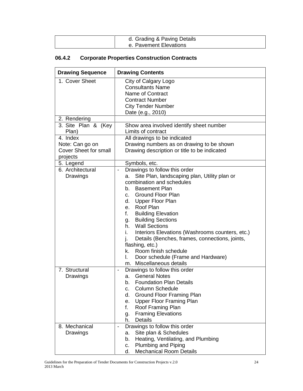| d. Grading & Paving Details |
|-----------------------------|
| e. Pavement Elevations      |

# **06.4.2 Corporate Properties Construction Contracts**

| <b>Drawing Sequence</b>                         | <b>Drawing Contents</b>                                                                   |
|-------------------------------------------------|-------------------------------------------------------------------------------------------|
| 1. Cover Sheet                                  | City of Calgary Logo<br><b>Consultants Name</b>                                           |
|                                                 | Name of Contract<br><b>Contract Number</b>                                                |
|                                                 | <b>City Tender Number</b>                                                                 |
|                                                 | Date (e.g., 2010)                                                                         |
| 2. Rendering                                    |                                                                                           |
| 3. Site Plan & (Key                             | Show area involved identify sheet number                                                  |
| Plan)                                           | Limits of contract                                                                        |
| 4. Index                                        | All drawings to be indicated                                                              |
| Note: Can go on<br><b>Cover Sheet for small</b> | Drawing numbers as on drawing to be shown<br>Drawing description or title to be indicated |
| projects                                        |                                                                                           |
| 5. Legend                                       | Symbols, etc.                                                                             |
| 6. Architectural                                | Drawings to follow this order<br>$\overline{\phantom{a}}$                                 |
| Drawings                                        | Site Plan, landscaping plan, Utility plan or<br>a.                                        |
|                                                 | combination and schedules                                                                 |
|                                                 | <b>Basement Plan</b><br>b.                                                                |
|                                                 | <b>Ground Floor Plan</b><br>C.                                                            |
|                                                 | d.<br>Upper Floor Plan<br>e. Roof Plan                                                    |
|                                                 | f.<br><b>Building Elevation</b>                                                           |
|                                                 | <b>Building Sections</b><br>g.                                                            |
|                                                 | <b>Wall Sections</b><br>h.                                                                |
|                                                 | i.<br>Interiors Elevations (Washrooms counters, etc.)                                     |
|                                                 | Details (Benches, frames, connections, joints,<br>j.                                      |
|                                                 | flashing, etc.)                                                                           |
|                                                 | Room finish schedule<br>k.                                                                |
|                                                 | I.<br>Door schedule (Frame and Hardware)                                                  |
| 7. Structural                                   | Miscellaneous details<br>m.<br>Drawings to follow this order                              |
| Drawings                                        | $\overline{\phantom{a}}$<br><b>General Notes</b><br>а.                                    |
|                                                 | <b>Foundation Plan Details</b><br>b.                                                      |
|                                                 | Column Schedule<br>С.                                                                     |
|                                                 | Ground Floor Framing Plan<br>d.                                                           |
|                                                 | <b>Upper Floor Framing Plan</b><br>е.                                                     |
|                                                 | f.<br>Roof Framing Plan                                                                   |
|                                                 | <b>Framing Elevations</b><br>g.                                                           |
| 8. Mechanical                                   | <b>Details</b><br>h.<br>Drawings to follow this order<br>-                                |
| Drawings                                        | Site plan & Schedules<br>a.                                                               |
|                                                 | Heating, Ventilating, and Plumbing<br>b.                                                  |
|                                                 | Plumbing and Piping<br>C.                                                                 |
|                                                 | <b>Mechanical Room Details</b><br>d.                                                      |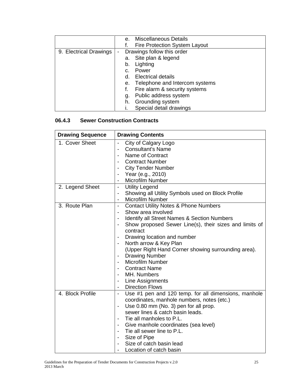|                        |                          | е. | <b>Miscellaneous Details</b>   |
|------------------------|--------------------------|----|--------------------------------|
|                        |                          |    | Fire Protection System Layout  |
| 9. Electrical Drawings | $\overline{\phantom{a}}$ |    | Drawings follow this order     |
|                        |                          | а. | Site plan & legend             |
|                        |                          | b. | Lighting                       |
|                        |                          | C. | Power                          |
|                        |                          | d. | <b>Electrical details</b>      |
|                        |                          | е. | Telephone and Intercom systems |
|                        |                          | f. | Fire alarm & security systems  |
|                        |                          | g. | Public address system          |
|                        |                          | h. | Grounding system               |
|                        |                          |    | Special detail drawings        |

# **06.4.3 Sewer Construction Contracts**

| <b>Drawing Sequence</b> | <b>Drawing Contents</b>                                                            |
|-------------------------|------------------------------------------------------------------------------------|
| 1. Cover Sheet          | City of Calgary Logo<br>$\blacksquare$                                             |
|                         | <b>Consultant's Name</b>                                                           |
|                         | Name of Contract                                                                   |
|                         | <b>Contract Number</b>                                                             |
|                         | <b>City Tender Number</b>                                                          |
|                         | Year (e.g., 2010)                                                                  |
|                         | <b>Microfilm Number</b>                                                            |
| 2. Legend Sheet         | <b>Utility Legend</b><br>$\overline{\phantom{a}}$                                  |
|                         | Showing all Utility Symbols used on Block Profile<br>$\overline{\phantom{a}}$      |
|                         | <b>Microfilm Number</b><br>$\overline{\phantom{a}}$                                |
| 3. Route Plan           | <b>Contact Utility Notes &amp; Phone Numbers</b><br>$\overline{\phantom{a}}$       |
|                         | Show area involved                                                                 |
|                         | Identify all Street Names & Section Numbers                                        |
|                         | Show proposed Sewer Line(s), their sizes and limits of<br>$\overline{\phantom{a}}$ |
|                         | contract                                                                           |
|                         | Drawing location and number<br>$\overline{\phantom{a}}$                            |
|                         | North arrow & Key Plan<br>$\overline{\phantom{a}}$                                 |
|                         | (Upper Right Hand Corner showing surrounding area).                                |
|                         | <b>Drawing Number</b><br>$\overline{\phantom{a}}$                                  |
|                         | <b>Microfilm Number</b>                                                            |
|                         | <b>Contract Name</b>                                                               |
|                         | MH. Numbers                                                                        |
|                         | Line Assignments                                                                   |
|                         | <b>Direction Flows</b><br>$\overline{\phantom{a}}$                                 |
| 4. Block Profile        | Use #1 pen and 120 temp. for all dimensions, manhole<br>$\blacksquare$             |
|                         | coordinates, manhole numbers, notes (etc.)                                         |
|                         | Use 0.80 mm (No. 3) pen for all prop.<br>$\overline{\phantom{a}}$                  |
|                         | sewer lines & catch basin leads.                                                   |
|                         | Tie all manholes to P.L.<br>$\blacksquare$                                         |
|                         | Give manhole coordinates (sea level)<br>$\overline{\phantom{a}}$                   |
|                         | Tie all sewer line to P.L.                                                         |
|                         | Size of Pipe<br>$\overline{\phantom{a}}$                                           |
|                         | Size of catch basin lead                                                           |
|                         | Location of catch basin                                                            |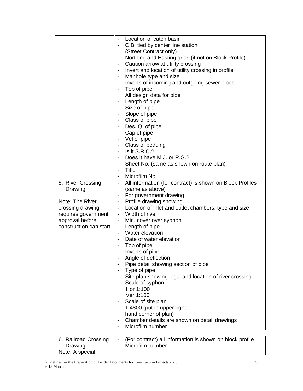|                         | Location of catch basin<br>$\overline{\phantom{a}}$                                      |
|-------------------------|------------------------------------------------------------------------------------------|
|                         | C.B. tied by center line station                                                         |
|                         | (Street Contract only)                                                                   |
|                         |                                                                                          |
|                         | Northing and Easting grids (if not on Block Profile)                                     |
|                         | Caution arrow at utility crossing                                                        |
|                         | Invert and location of utility crossing in profile                                       |
|                         | Manhole type and size                                                                    |
|                         | Inverts of incoming and outgoing sewer pipes                                             |
|                         | Top of pipe                                                                              |
|                         | All design data for pipe                                                                 |
|                         | Length of pipe<br>$\overline{\phantom{a}}$                                               |
|                         |                                                                                          |
|                         | Size of pipe                                                                             |
|                         | Slope of pipe                                                                            |
|                         | Class of pipe                                                                            |
|                         | Des. Q. of pipe                                                                          |
|                         | Cap of pipe                                                                              |
|                         | Vel of pipe                                                                              |
|                         | Class of bedding                                                                         |
|                         | Is it S.R.C.?                                                                            |
|                         | Does it have M.J. or R.G.?                                                               |
|                         |                                                                                          |
|                         | Sheet No. (same as shown on route plan)                                                  |
|                         | Title                                                                                    |
|                         | Microfilm No.                                                                            |
| 5. River Crossing       | All information (for contract) is shown on Block Profiles                                |
| Drawing                 | (same as above)                                                                          |
|                         | For government drawing<br>-                                                              |
| Note: The River         | Profile drawing showing<br>-                                                             |
| crossing drawing        | Location of inlet and outlet chambers, type and size<br>$\overline{\phantom{a}}$         |
| requires government     | - Width of river                                                                         |
| approval before         | Min. cover over syphon<br>$\overline{\phantom{a}}$                                       |
| construction can start. | - Length of pipe                                                                         |
|                         | Water elevation                                                                          |
|                         |                                                                                          |
|                         | Date of water elevation                                                                  |
|                         | Top of pipe                                                                              |
|                         | Inverts of pipe                                                                          |
|                         | Angle of deflection                                                                      |
|                         | Pipe detail showing section of pipe<br>-                                                 |
|                         | Type of pipe                                                                             |
|                         | Site plan showing legal and location of river crossing                                   |
|                         | Scale of syphon                                                                          |
|                         | Hor 1:100                                                                                |
|                         | Ver 1:100                                                                                |
|                         | Scale of site plan                                                                       |
|                         |                                                                                          |
|                         | 1:4800 (put in upper right                                                               |
|                         | hand corner of plan)                                                                     |
|                         | Chamber details are shown on detail drawings<br>$\overline{\phantom{a}}$                 |
|                         | Microfilm number                                                                         |
|                         |                                                                                          |
| 6. Railroad Crossing    | (For contract) all information is shown on block profile<br>$\qquad \qquad \blacksquare$ |
| Drawing                 | Microfilm number<br>-                                                                    |
| Note: A special         |                                                                                          |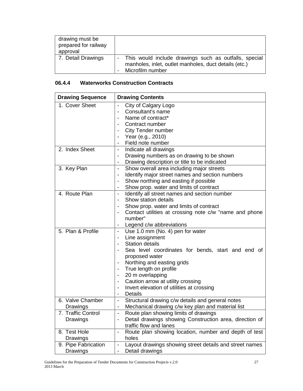| drawing must be<br>prepared for railway<br>approval |                                                                                                                                      |
|-----------------------------------------------------|--------------------------------------------------------------------------------------------------------------------------------------|
| 7. Detail Drawings                                  | - This would include drawings such as outfalls, special<br>manholes, inlet, outlet manholes, duct details (etc.)<br>Microfilm number |

# **06.4.4 Waterworks Construction Contracts**

| <b>Drawing Sequence</b> | <b>Drawing Contents</b>                                                             |
|-------------------------|-------------------------------------------------------------------------------------|
| 1. Cover Sheet          | City of Calgary Logo<br>$\blacksquare$                                              |
|                         | Consultant's name                                                                   |
|                         | Name of contract*                                                                   |
|                         | Contract number                                                                     |
|                         | City Tender number                                                                  |
|                         | Year (e.g., 2010)                                                                   |
|                         | Field note number                                                                   |
| 2. Index Sheet          | Indicate all drawings<br>$\overline{\phantom{a}}$                                   |
|                         | Drawing numbers as on drawing to be shown                                           |
|                         | Drawing description or title to be indicated                                        |
| 3. Key Plan             | Show overall area including major streets<br>$\blacksquare$                         |
|                         | Identify major street names and section numbers<br>$\overline{\phantom{a}}$         |
|                         | Show northing and easting if possible<br>$\overline{\phantom{a}}$                   |
|                         | Show prop. water and limits of contract<br>-                                        |
| 4. Route Plan           | Identify all street names and section number<br>$\blacksquare$                      |
|                         | Show station details<br>$\overline{\phantom{a}}$                                    |
|                         | Show prop. water and limits of contract                                             |
|                         | Contact utilities at crossing note c/w "name and phone                              |
|                         | number"                                                                             |
|                         | Legend c/w abbreviations                                                            |
| 5. Plan & Profile       | Use 1.0 mm (No. 4) pen for water<br>$\overline{\phantom{a}}$                        |
|                         | Line assignment                                                                     |
|                         | <b>Station details</b>                                                              |
|                         | Sea level coordinates for bends, start and end of                                   |
|                         | proposed water                                                                      |
|                         | Northing and easting grids                                                          |
|                         | True length on profile                                                              |
|                         | 20 m overlapping<br>$\overline{\phantom{a}}$                                        |
|                         | Caution arrow at utility crossing                                                   |
|                         | Invert elevation of utilities at crossing<br>$\overline{\phantom{a}}$               |
|                         | Details<br>$\overline{\phantom{a}}$                                                 |
| 6. Valve Chamber        | Structural drawing c/w details and general notes<br>$\overline{\phantom{a}}$        |
| Drawings                | Mechanical drawing c/w key plan and material list                                   |
| 7. Traffic Control      | Route plan showing limits of drawings                                               |
| Drawings                | Detail drawings showing Construction area, direction of                             |
|                         | traffic flow and lanes                                                              |
| 8. Test Hole            | Route plan showing location, number and depth of test<br>$\overline{\phantom{a}}$   |
| Drawings                | holes                                                                               |
| 9. Pipe Fabrication     | Layout drawings showing street details and street names<br>$\overline{\phantom{a}}$ |
| Drawings                | Detail drawings                                                                     |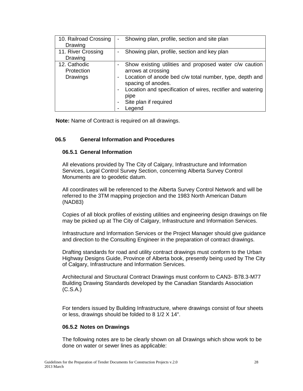| 10. Railroad Crossing<br>Drawing              | -      | Showing plan, profile, section and site plan                                                                                                                                                                                                                            |
|-----------------------------------------------|--------|-------------------------------------------------------------------------------------------------------------------------------------------------------------------------------------------------------------------------------------------------------------------------|
| 11. River Crossing<br>Drawing                 | -      | Showing plan, profile, section and key plan                                                                                                                                                                                                                             |
| 12. Cathodic<br>Protection<br><b>Drawings</b> | -<br>- | Show existing utilities and proposed water c/w caution<br>arrows at crossing<br>Location of anode bed c/w total number, type, depth and<br>spacing of anodes.<br>Location and specification of wires, rectifier and watering<br>pipe<br>Site plan if required<br>Legend |

**Note:** Name of Contract is required on all drawings.

# **06.5 General Information and Procedures**

#### **06.5.1 General Information**

All elevations provided by The City of Calgary, Infrastructure and Information Services, Legal Control Survey Section, concerning Alberta Survey Control Monuments are to geodetic datum.

All coordinates will be referenced to the Alberta Survey Control Network and will be referred to the 3TM mapping projection and the 1983 North American Datum (NAD83)

Copies of all block profiles of existing utilities and engineering design drawings on file may be picked up at The City of Calgary, Infrastructure and Information Services.

Infrastructure and Information Services or the Project Manager should give guidance and direction to the Consulting Engineer in the preparation of contract drawings.

Drafting standards for road and utility contract drawings must conform to the Urban Highway Designs Guide, Province of Alberta book, presently being used by The City of Calgary, Infrastructure and Information Services.

Architectural and Structural Contract Drawings must conform to CAN3- B78.3-M77 Building Drawing Standards developed by the Canadian Standards Association (C.S.A.)

For tenders issued by Building Infrastructure, where drawings consist of four sheets or less, drawings should be folded to 8 1/2 X 14".

#### **06.5.2 Notes on Drawings**

The following notes are to be clearly shown on all Drawings which show work to be done on water or sewer lines as applicable: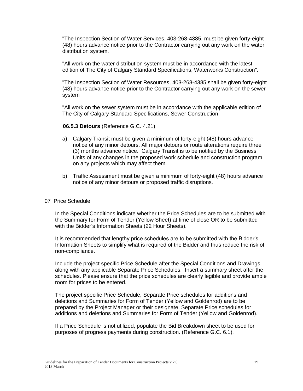"The Inspection Section of Water Services, 403-268-4385, must be given forty-eight (48) hours advance notice prior to the Contractor carrying out any work on the water distribution system.

"All work on the water distribution system must be in accordance with the latest edition of The City of Calgary Standard Specifications, Waterworks Construction".

"The Inspection Section of Water Resources, 403-268-4385 shall be given forty-eight (48) hours advance notice prior to the Contractor carrying out any work on the sewer system

"All work on the sewer system must be in accordance with the applicable edition of The City of Calgary Standard Specifications, Sewer Construction.

#### **06.5.3 Detours** (Reference G.C. 4.21)

- a) Calgary Transit must be given a minimum of forty-eight (48) hours advance notice of any minor detours. All major detours or route alterations require three (3) months advance notice. Calgary Transit is to be notified by the Business Units of any changes in the proposed work schedule and construction program on any projects which may affect them.
- b) Traffic Assessment must be given a minimum of forty-eight (48) hours advance notice of any minor detours or proposed traffic disruptions.

#### 07 Price Schedule

In the Special Conditions indicate whether the Price Schedules are to be submitted with the Summary for Form of Tender (Yellow Sheet) at time of close OR to be submitted with the Bidder"s Information Sheets (22 Hour Sheets).

It is recommended that lengthy price schedules are to be submitted with the Bidder's Information Sheets to simplify what is required of the Bidder and thus reduce the risk of non-compliance.

Include the project specific Price Schedule after the Special Conditions and Drawings along with any applicable Separate Price Schedules. Insert a summary sheet after the schedules. Please ensure that the price schedules are clearly legible and provide ample room for prices to be entered.

The project specific Price Schedule, Separate Price schedules for additions and deletions and Summaries for Form of Tender (Yellow and Goldenrod) are to be prepared by the Project Manager or their designate. Separate Price schedules for additions and deletions and Summaries for Form of Tender (Yellow and Goldenrod).

If a Price Schedule is not utilized, populate the Bid Breakdown sheet to be used for purposes of progress payments during construction. (Reference G.C. 6.1).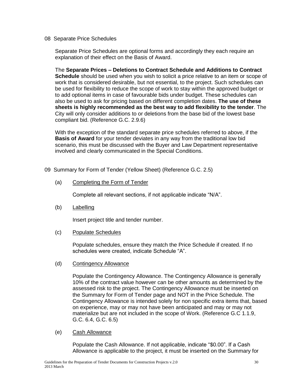#### 08 Separate Price Schedules

Separate Price Schedules are optional forms and accordingly they each require an explanation of their effect on the Basis of Award.

The **Separate Prices – Deletions to Contract Schedule and Additions to Contract Schedule** should be used when you wish to solicit a price relative to an item or scope of work that is considered desirable, but not essential, to the project. Such schedules can be used for flexibility to reduce the scope of work to stay within the approved budget or to add optional items in case of favourable bids under budget. These schedules can also be used to ask for pricing based on different completion dates. **The use of these sheets is highly recommended as the best way to add flexibility to the tender**. The City will only consider additions to or deletions from the base bid of the lowest base compliant bid. (Reference G.C. 2.9.6)

With the exception of the standard separate price schedules referred to above, if the **Basis of Award** for your tender deviates in any way from the traditional low bid scenario, this must be discussed with the Buyer and Law Department representative involved and clearly communicated in the Special Conditions.

- 09 Summary for Form of Tender (Yellow Sheet) (Reference G.C. 2.5)
	- (a) Completing the Form of Tender

Complete all relevant sections, if not applicable indicate "N/A".

(b) Labelling

Insert project title and tender number.

(c) Populate Schedules

Populate schedules, ensure they match the Price Schedule if created. If no schedules were created, indicate Schedule "A".

(d) Contingency Allowance

Populate the Contingency Allowance. The Contingency Allowance is generally 10% of the contract value however can be other amounts as determined by the assessed risk to the project. The Contingency Allowance must be inserted on the Summary for Form of Tender page and NOT in the Price Schedule. The Contingency Allowance is intended solely for non specific extra items that, based on experience, may or may not have been anticipated and may or may not materialize but are not included in the scope of Work. (Reference G.C 1.1.9, G.C. 6.4, G.C. 6.5)

#### (e) Cash Allowance

Populate the Cash Allowance. If not applicable, indicate "\$0.00". If a Cash Allowance is applicable to the project, it must be inserted on the Summary for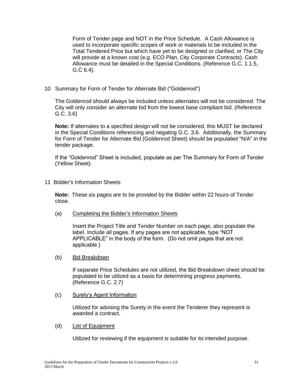Form of Tender page and NOT in the Price Schedule. A Cash Allowance is used to incorporate specific scopes of work or materials to be included in the Total Tendered Price but which have yet to be designed or clarified, or The City will provide at a known cost (e.g. ECO Plan, City Corporate Contracts). Cash Allowance must be detailed in the Special Conditions. (Reference G.C. 1.1.5, G.C 6.4).

#### 10 Summary for Form of Tender for Alternate Bid ("Goldenrod")

The Goldenrod should always be included unless alternates will not be considered. The City will only consider an alternate bid from the lowest base compliant bid. (Reference G.C. 3.6)

**Note:** If alternates to a specified design will not be considered, this MUST be declared in the Special Conditions referencing and negating G.C. 3.6. Additionally, the Summary for Form of Tender for Alternate Bid (Goldenrod Sheet) should be populated "N/A" in the tender package.

If the "Goldenrod" Sheet is included, populate as per The Summary for Form of Tender (Yellow Sheet).

11 Bidder"s Information Sheets

**Note:** These six pages are to be provided by the Bidder within 22 hours of Tender close.

(a) Completing the Bidder"s Information Sheets

Insert the Project Title and Tender Number on each page, also populate the label. Include all pages. If any pages are not applicable, type "NOT APPLICABLE" in the body of the form. (Do not omit pages that are not applicable.)

#### (b) Bid Breakdown

If separate Price Schedules are not utilized, the Bid Breakdown sheet should be populated to be utilized as a basis for determining progress payments. (Reference G.C. 2.7)

#### (c) Surety"s Agent Information

Utilized for advising the Surety in the event the Tenderer they represent is awarded a contract.

(d) List of Equipment

Utilized for reviewing if the equipment is suitable for its intended purpose.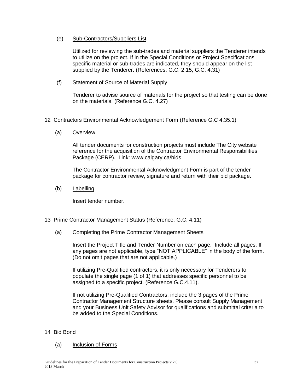(e) Sub-Contractors/Suppliers List

Utilized for reviewing the sub-trades and material suppliers the Tenderer intends to utilize on the project. If in the Special Conditions or Project Specifications specific material or sub-trades are indicated, they should appear on the list supplied by the Tenderer. (References: G.C. 2.15, G.C. 4.31)

(f) Statement of Source of Material Supply

Tenderer to advise source of materials for the project so that testing can be done on the materials. (Reference G.C. 4.27)

- 12 Contractors Environmental Acknowledgement Form (Reference G.C 4.35.1)
	- (a) Overview

All tender documents for construction projects must include The City website reference for the acquisition of the Contractor Environmental Responsibilities Package (CERP). Link: [www.calgary.ca/bids](http://www.calgary.ca/bids) 

The Contractor Environmental Acknowledgment Form is part of the tender package for contractor review, signature and return with their bid package.

(b) Labelling

Insert tender number.

- 13 Prime Contractor Management Status (Reference: G.C. 4.11)
	- (a) Completing the Prime Contractor Management Sheets

Insert the Project Title and Tender Number on each page. Include all pages. If any pages are not applicable, type "NOT APPLICABLE" in the body of the form. (Do not omit pages that are not applicable.)

If utilizing Pre-Qualified contractors, it is only necessary for Tenderers to populate the single page (1 of 1) that addresses specific personnel to be assigned to a specific project. (Reference G.C.4.11).

If not utilizing Pre-Qualified Contractors, include the 3 pages of the Prime Contractor Management Structure sheets. Please consult Supply Management and your Business Unit Safety Advisor for qualifications and submittal criteria to be added to the Special Conditions.

#### 14 Bid Bond

#### (a) Inclusion of Forms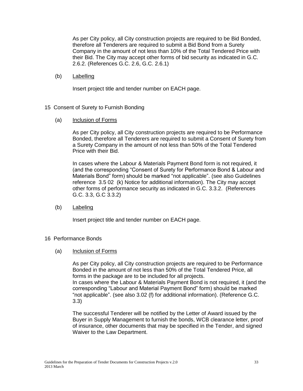As per City policy, all City construction projects are required to be Bid Bonded, therefore all Tenderers are required to submit a Bid Bond from a Surety Company in the amount of not less than 10% of the Total Tendered Price with their Bid. The City may accept other forms of bid security as indicated in G.C. 2.6.2. (References G.C. 2.6, G.C. 2.6.1)

(b) Labelling

Insert project title and tender number on EACH page.

- 15 Consent of Surety to Furnish Bonding
	- (a) Inclusion of Forms

As per City policy, all City construction projects are required to be Performance Bonded, therefore all Tenderers are required to submit a Consent of Surety from a Surety Company in the amount of not less than 50% of the Total Tendered Price with their Bid.

In cases where the Labour & Materials Payment Bond form is not required, it (and the corresponding "Consent of Surety for Performance Bond & Labour and Materials Bond" form) should be marked "not applicable". (see also Guidelines reference 3.5 02 (k) Notice for additional information). The City may accept other forms of performance security as indicated in G.C. 3.3.2. (References G.C. 3.3, G.C 3.3.2)

(b) Labeling

Insert project title and tender number on EACH page.

#### 16 Performance Bonds

(a) Inclusion of Forms

As per City policy, all City construction projects are required to be Performance Bonded in the amount of not less than 50% of the Total Tendered Price, all forms in the package are to be included for all projects. In cases where the Labour & Materials Payment Bond is not required, it (and the corresponding "Labour and Material Payment Bond" form) should be marked "not applicable". (see also 3.02 (f) for additional information). (Reference G.C. 3.3)

The successful Tenderer will be notified by the Letter of Award issued by the Buyer in Supply Management to furnish the bonds, WCB clearance letter, proof of insurance, other documents that may be specified in the Tender, and signed Waiver to the Law Department.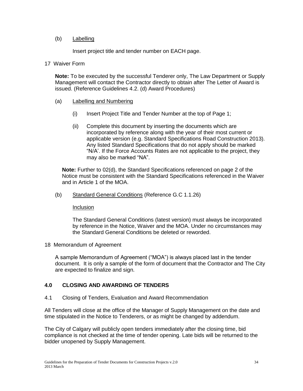#### (b) Labelling

Insert project title and tender number on EACH page.

#### 17 Waiver Form

**Note:** To be executed by the successful Tenderer only, The Law Department or Supply Management will contact the Contractor directly to obtain after The Letter of Award is issued. (Reference Guidelines 4.2. (d) Award Procedures)

#### (a) Labelling and Numbering

- (i) Insert Project Title and Tender Number at the top of Page 1;
- (ii) Complete this document by inserting the documents which are incorporated by reference along with the year of their most current or applicable version (e.g. Standard Specifications Road Construction 2013). Any listed Standard Specifications that do not apply should be marked "N/A". If the Force Accounts Rates are not applicable to the project, they may also be marked "NA".

**Note:** Further to 02(d), the Standard Specifications referenced on page 2 of the Notice must be consistent with the Standard Specifications referenced in the Waiver and in Article 1 of the MOA.

(b) Standard General Conditions (Reference G.C 1.1.26)

#### Inclusion

The Standard General Conditions (latest version) must always be incorporated by reference in the Notice, Waiver and the MOA. Under no circumstances may the Standard General Conditions be deleted or reworded.

18 Memorandum of Agreement

A sample Memorandum of Agreement ("MOA") is always placed last in the tender document. It is only a sample of the form of document that the Contractor and The City are expected to finalize and sign.

#### **4.0 CLOSING AND AWARDING OF TENDERS**

4.1 Closing of Tenders, Evaluation and Award Recommendation

All Tenders will close at the office of the Manager of Supply Management on the date and time stipulated in the Notice to Tenderers, or as might be changed by addendum.

The City of Calgary will publicly open tenders immediately after the closing time, bid compliance is not checked at the time of tender opening. Late bids will be returned to the bidder unopened by Supply Management.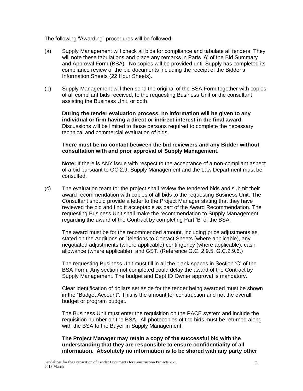The following "Awarding" procedures will be followed:

- (a) Supply Management will check all bids for compliance and tabulate all tenders. They will note these tabulations and place any remarks in Parts 'A' of the Bid Summary and Approval Form (BSA). No copies will be provided until Supply has completed its compliance review of the bid documents including the receipt of the Bidder"s Information Sheets (22 Hour Sheets).
- (b) Supply Management will then send the original of the BSA Form together with copies of all compliant bids received, to the requesting Business Unit or the consultant assisting the Business Unit, or both.

**During the tender evaluation process, no information will be given to any individual or firm having a direct or indirect interest in the final award.** Discussions will be limited to those persons required to complete the necessary technical and commercial evaluation of bids.

#### **There must be no contact between the bid reviewers and any Bidder without consultation with and prior approval of Supply Management.**

**Note:** If there is ANY issue with respect to the acceptance of a non-compliant aspect of a bid pursuant to GC 2.9, Supply Management and the Law Department must be consulted.

(c) The evaluation team for the project shall review the tendered bids and submit their award recommendation with copies of all bids to the requesting Business Unit. The Consultant should provide a letter to the Project Manager stating that they have reviewed the bid and find it acceptable as part of the Award Recommendation. The requesting Business Unit shall make the recommendation to Supply Management regarding the award of the Contract by completing Part "B" of the BSA.

The award must be for the recommended amount, including price adjustments as stated on the Additions or Deletions to Contact Sheets (where applicable), any negotiated adjustments (where applicable) contingency (where applicable), cash allowance (where applicable), and GST. (Reference G.C. 2.9.5, G.C.2.9.6,)

The requesting Business Unit must fill in all the blank spaces in Section "C" of the BSA Form. Any section not completed could delay the award of the Contract by Supply Management. The budget and Dept ID Owner approval is mandatory.

Clear identification of dollars set aside for the tender being awarded must be shown in the "Budget Account". This is the amount for construction and not the overall budget or program budget.

The Business Unit must enter the requisition on the PACE system and include the requisition number on the BSA. All photocopies of the bids must be returned along with the BSA to the Buyer in Supply Management.

**The Project Manager may retain a copy of the successful bid with the understanding that they are responsible to ensure confidentiality of all information. Absolutely no information is to be shared with any party other**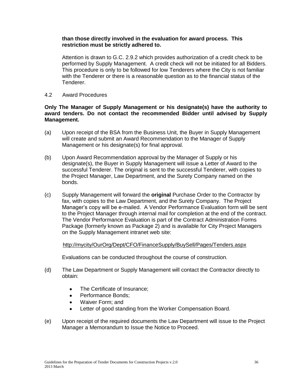#### **than those directly involved in the evaluation for award process. This restriction must be strictly adhered to.**

Attention is drawn to G.C. 2.9.2 which provides authorization of a credit check to be performed by Supply Management. A credit check will not be initiated for all Bidders. This procedure is only to be followed for low Tenderers where the City is not familiar with the Tenderer or there is a reasonable question as to the financial status of the Tenderer.

4.2 Award Procedures

#### **Only The Manager of Supply Management or his designate(s) have the authority to award tenders. Do not contact the recommended Bidder until advised by Supply Management.**

- (a) Upon receipt of the BSA from the Business Unit, the Buyer in Supply Management will create and submit an Award Recommendation to the Manager of Supply Management or his designate(s) for final approval.
- (b) Upon Award Recommendation approval by the Manager of Supply or his designate(s), the Buyer in Supply Management will issue a Letter of Award to the successful Tenderer. The original is sent to the successful Tenderer, with copies to the Project Manager, Law Department, and the Surety Company named on the bonds.
- (c) Supply Management will forward the **original** Purchase Order to the Contractor by fax, with copies to the Law Department, and the Surety Company. The Project Manager"s copy will be e-mailed. A Vendor Performance Evaluation form will be sent to the Project Manager through internal mail for completion at the end of the contract. The Vendor Performance Evaluation is part of the Contract Administration Forms Package (formerly known as Package 2) and is available for City Project Managers on the Supply Management intranet web site:

#### <http://mycity/OurOrg/Dept/CFO/FinanceSupply/BuySell/Pages/Tenders.aspx>

Evaluations can be conducted throughout the course of construction.

- (d) The Law Department or Supply Management will contact the Contractor directly to obtain:
	- The Certificate of Insurance;  $\bullet$
	- $\bullet$ Performance Bonds;
	- Waiver Form; and
	- Letter of good standing from the Worker Compensation Board.
- (e) Upon receipt of the required documents the Law Department will issue to the Project Manager a Memorandum to Issue the Notice to Proceed.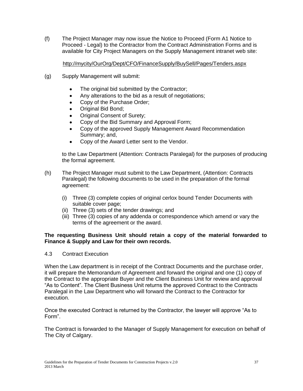(f) The Project Manager may now issue the Notice to Proceed (Form A1 Notice to Proceed - Legal) to the Contractor from the Contract Administration Forms and is available for City Project Managers on the Supply Management intranet web site:

### <http://mycity/OurOrg/Dept/CFO/FinanceSupply/BuySell/Pages/Tenders.aspx>

- (g) Supply Management will submit:
	- The original bid submitted by the Contractor;
	- Any alterations to the bid as a result of negotiations;  $\bullet$
	- Copy of the Purchase Order;  $\bullet$
	- Original Bid Bond;
	- Original Consent of Surety;
	- Copy of the Bid Summary and Approval Form;
	- Copy of the approved Supply Management Award Recommendation Summary; and,
	- Copy of the Award Letter sent to the Vendor.  $\bullet$

to the Law Department (Attention: Contracts Paralegal) for the purposes of producing the formal agreement.

- (h) The Project Manager must submit to the Law Department, (Attention: Contracts Paralegal) the following documents to be used in the preparation of the formal agreement:
	- (i) Three (3) complete copies of original cerlox bound Tender Documents with suitable cover page;
	- (ii) Three (3) sets of the tender drawings; and
	- (iii) Three (3) copies of any addenda or correspondence which amend or vary the terms of the agreement or the award.

#### **The requesting Business Unit should retain a copy of the material forwarded to Finance & Supply and Law for their own records.**

#### 4.3 Contract Execution

When the Law department is in receipt of the Contract Documents and the purchase order, it will prepare the Memorandum of Agreement and forward the original and one (1) copy of the Contract to the appropriate Buyer and the Client Business Unit for review and approval "As to Content". The Client Business Unit returns the approved Contract to the Contracts Paralegal in the Law Department who will forward the Contract to the Contractor for execution.

Once the executed Contract is returned by the Contractor, the lawyer will approve "As to Form".

The Contract is forwarded to the Manager of Supply Management for execution on behalf of The City of Calgary.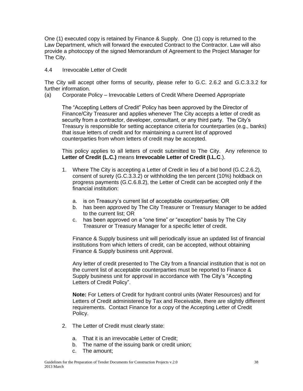One (1) executed copy is retained by Finance & Supply. One (1) copy is returned to the Law Department, which will forward the executed Contract to the Contractor. Law will also provide a photocopy of the signed Memorandum of Agreement to the Project Manager for The City.

4.4 Irrevocable Letter of Credit

The City will accept other forms of security, please refer to G.C. 2.6.2 and G.C.3.3.2 for further information.

(a) Corporate Policy – Irrevocable Letters of Credit Where Deemed Appropriate

The "Accepting Letters of Credit" Policy has been approved by the Director of Finance/City Treasurer and applies whenever The City accepts a letter of credit as security from a contractor, developer, consultant, or any third party. The City"s Treasury is responsible for setting acceptance criteria for counterparties (e.g., banks) that issue letters of credit and for maintaining a current list of approved counterparties from whom letters of credit may be accepted.

This policy applies to all letters of credit submitted to The City. Any reference to **Letter of Credit (L.C.)** means **Irrevocable Letter of Credit (I.L.C**.).

- 1. Where The City is accepting a Letter of Credit in lieu of a bid bond (G.C.2.6.2), consent of surety (G.C.3.3.2) or withholding the ten percent (10%) holdback on progress payments (G.C.6.8.2), the Letter of Credit can be accepted only if the financial institution:
	- a. is on Treasury"s current list of acceptable counterparties; OR
	- b. has been approved by The City Treasurer or Treasury Manager to be added to the current list; OR
	- c. has been approved on a "one time" or "exception" basis by The City Treasurer or Treasury Manager for a specific letter of credit.

Finance & Supply business unit will periodically issue an updated list of financial institutions from which letters of credit, can be accepted, without obtaining Finance & Supply business unit Approval.

Any letter of credit presented to The City from a financial institution that is not on the current list of acceptable counterparties must be reported to Finance & Supply business unit for approval in accordance with The City"s "Accepting Letters of Credit Policy".

**Note:** For Letters of Credit for hydrant control units (Water Resources) and for Letters of Credit administered by Tax and Receivable, there are slightly different requirements. Contact Finance for a copy of the Accepting Letter of Credit Policy.

- 2. The Letter of Credit must clearly state:
	- a. That it is an irrevocable Letter of Credit;
	- b. The name of the issuing bank or credit union;
	- c. The amount;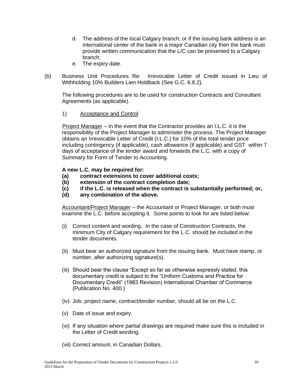- d. The address of the local Calgary branch; or if the issuing bank address is an international center of the bank in a major Canadian city then the bank must provide written communication that the L/C can be presented to a Calgary branch;
- e. The expiry date.
- (b) Business Unit Procedures Re: Irrevocable Letter of Credit issued in Lieu of Withholding 10% Builders Lien Holdback (See G.C. 6.8.2).

The following procedures are to be used for construction Contracts and Consultant Agreements (as applicable).

#### 1) Acceptance and Control

Project Manager – In the event that the Contractor provides an I.L.C. it is the responsibility of the Project Manager to administer the process. The Project Manager obtains an Irrevocable Letter of Credit (I.L.C.) for 10% of the total tender price including contingency (if applicable), cash allowance (if applicable) and GST within 7 days of acceptance of the tender award and forwards the L.C. with a copy of Summary for Form of Tender to Accounting.

#### **A new L.C. may be required for:**

- **(a) contract extensions to cover additional costs;**
- **(b) extension of the contract completion date;**
- **(c) if the L.C. is released when the contract is substantially performed; or,**
- **(d) any combination of the above.**

Accountant/Project Manager – the Accountant or Project Manager, or both must examine the L.C. before accepting it. Some points to look for are listed below:

- (i) Correct content and wording. In the case of Construction Contracts, the minimum City of Calgary requirement for the L.C. should be included in the tender documents.
- (ii) Must bear an authorized signature from the issuing bank. Must have stamp, or number, after authorizing signature(s).
- (iii) Should bear the clause "Except so far as otherwise expressly stated, this documentary credit is subject to the "Uniform Customs and Practice for Documentary Credit" (1983 Revision) International Chamber of Commerce (Publication No. 400.)
- (iv) Job, project name, contract/tender number, should all be on the L.C.
- (v) Date of issue and expiry.
- (vi) If any situation where partial drawings are required make sure this is included in the Letter of Credit wording.
- (vii) Correct amount, in Canadian Dollars.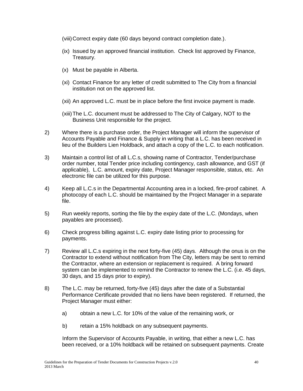(viii)Correct expiry date (60 days beyond contract completion date.).

- (ix) Issued by an approved financial institution. Check list approved by Finance, Treasury.
- (x) Must be payable in Alberta.
- (xi) Contact Finance for any letter of credit submitted to The City from a financial institution not on the approved list.
- (xii) An approved L.C. must be in place before the first invoice payment is made.
- (xiii)The L.C. document must be addressed to The City of Calgary, NOT to the Business Unit responsible for the project.
- 2) Where there is a purchase order, the Project Manager will inform the supervisor of Accounts Payable and Finance & Supply in writing that a L.C. has been received in lieu of the Builders Lien Holdback, and attach a copy of the L.C. to each notification.
- 3) Maintain a control list of all L.C.s, showing name of Contractor, Tender/purchase order number, total Tender price including contingency, cash allowance, and GST (if applicable), L.C. amount, expiry date, Project Manager responsible, status, etc. An electronic file can be utilized for this purpose.
- 4) Keep all L.C.s in the Departmental Accounting area in a locked, fire-proof cabinet. A photocopy of each L.C. should be maintained by the Project Manager in a separate file.
- 5) Run weekly reports, sorting the file by the expiry date of the L.C. (Mondays, when payables are processed).
- 6) Check progress billing against L.C. expiry date listing prior to processing for payments.
- 7) Review all L.C.s expiring in the next forty-five (45) days. Although the onus is on the Contractor to extend without notification from The City, letters may be sent to remind the Contractor, where an extension or replacement is required. A bring forward system can be implemented to remind the Contractor to renew the L.C. (i.e. 45 days, 30 days, and 15 days prior to expiry).
- 8) The L.C. may be returned, forty-five (45) days after the date of a Substantial Performance Certificate provided that no liens have been registered. If returned, the Project Manager must either:
	- a) obtain a new L.C. for 10% of the value of the remaining work, or
	- b) retain a 15% holdback on any subsequent payments.

Inform the Supervisor of Accounts Payable, in writing, that either a new L.C. has been received, or a 10% holdback will be retained on subsequent payments. Create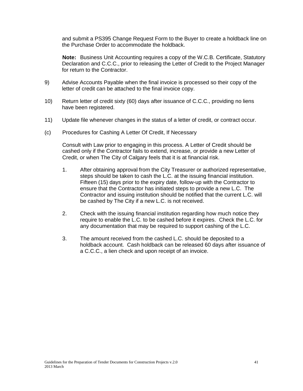and submit a PS395 Change Request Form to the Buyer to create a holdback line on the Purchase Order to accommodate the holdback.

**Note:** Business Unit Accounting requires a copy of the W.C.B. Certificate, Statutory Declaration and C.C.C., prior to releasing the Letter of Credit to the Project Manager for return to the Contractor.

- 9) Advise Accounts Payable when the final invoice is processed so their copy of the letter of credit can be attached to the final invoice copy.
- 10) Return letter of credit sixty (60) days after issuance of C.C.C., providing no liens have been registered.
- 11) Update file whenever changes in the status of a letter of credit, or contract occur.
- (c) Procedures for Cashing A Letter Of Credit, If Necessary

Consult with Law prior to engaging in this process. A Letter of Credit should be cashed only if the Contractor fails to extend, increase, or provide a new Letter of Credit, or when The City of Calgary feels that it is at financial risk.

- 1. After obtaining approval from the City Treasurer or authorized representative, steps should be taken to cash the L.C. at the issuing financial institution. Fifteen (15) days prior to the expiry date, follow-up with the Contractor to ensure that the Contractor has initiated steps to provide a new L.C. The Contractor and issuing institution should be notified that the current L.C. will be cashed by The City if a new L.C. is not received.
- 2. Check with the issuing financial institution regarding how much notice they require to enable the L.C. to be cashed before it expires. Check the L.C. for any documentation that may be required to support cashing of the L.C.
- 3. The amount received from the cashed L.C. should be deposited to a holdback account. Cash holdback can be released 60 days after issuance of a C.C.C., a lien check and upon receipt of an invoice.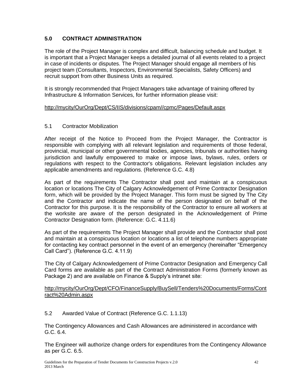# **5.0 CONTRACT ADMINISTRATION**

The role of the Project Manager is complex and difficult, balancing schedule and budget. It is important that a Project Manager keeps a detailed journal of all events related to a project in case of incidents or disputes. The Project Manager should engage all members of his project team (Consultants, Inspectors, Environmental Specialists, Safety Officers) and recruit support from other Business Units as required.

It is strongly recommended that Project Managers take advantage of training offered by Infrastructure & Information Services, for further information please visit:

#### [http://mycity/OurOrg/Dept/CS/IIS/divisions/cpam//cpmc/Pages/Default.aspx](http://mycity/OurOrg/Dept/CS/IIS/divisions/cpam/cpmc/Pages/Default.aspx)

#### 5.1 Contractor Mobilization

After receipt of the Notice to Proceed from the Project Manager, the Contractor is responsible with complying with all relevant legislation and requirements of those federal, provincial, municipal or other governmental bodies, agencies, tribunals or authorities having jurisdiction and lawfully empowered to make or impose laws, bylaws, rules, orders or regulations with respect to the Contractor's obligations. Relevant legislation includes any applicable amendments and regulations. (Reference G.C. 4.8)

As part of the requirements The Contractor shall post and maintain at a conspicuous location or locations The City of Calgary Acknowledgement of Prime Contractor Designation form, which will be provided by the Project Manager. This form must be signed by The City and the Contractor and indicate the name of the person designated on behalf of the Contractor for this purpose. It is the responsibility of the Contractor to ensure all workers at the worksite are aware of the person designated in the Acknowledgement of Prime Contractor Designation form. (Reference: G.C. 4.11.6)

As part of the requirements The Project Manager shall provide and the Contractor shall post and maintain at a conspicuous location or locations a list of telephone numbers appropriate for contacting key contract personnel in the event of an emergency (hereinafter "Emergency Call Card"). (Reference G.C. 4.11.9)

The City of Calgary Acknowledgement of Prime Contractor Designation and Emergency Call Card forms are available as part of the Contract Administration Forms (formerly known as Package 2) and are available on Finance & Supply"s intranet site:

#### [http://mycity/OurOrg/Dept/CFO/FinanceSupply/BuySell/Tenders%20Documents/Forms/Cont](http://mycity/OurOrg/Dept/CFO/FinanceSupply/BuySell/Tenders%20Documents/Forms/Contract%20Admin.aspx) [ract%20Admin.aspx](http://mycity/OurOrg/Dept/CFO/FinanceSupply/BuySell/Tenders%20Documents/Forms/Contract%20Admin.aspx)

#### 5.2 Awarded Value of Contract (Reference G.C. 1.1.13)

The Contingency Allowances and Cash Allowances are administered in accordance with G.C. 6.4.

The Engineer will authorize change orders for expenditures from the Contingency Allowance as per G.C. 6.5.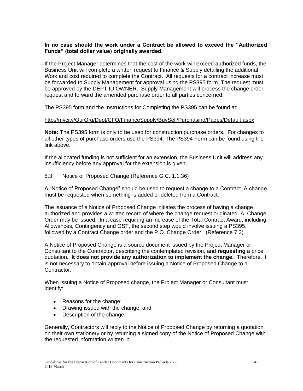#### **In no case should the work under a Contract be allowed to exceed the "Authorized Funds" (total dollar value) originally awarded.**

If the Project Manager determines that the cost of the work will exceed authorized funds, the Business Unit will complete a written request to Finance & Supply detailing the additional Work and cost required to complete the Contract. All requests for a contract increase must be forwarded to Supply Management for approval using the PS395 form. The request must be approved by the DEPT ID OWNER. Supply Management will process the change order request and forward the amended purchase order to all parties concerned.

The PS395 form and the Instructions for Completing the PS395 can be found at:

#### <http://mycity/OurOrg/Dept/CFO/FinanceSupply/BuySell/Purchasing/Pages/Default.aspx>

**Note:** The PS395 form is only to be used for construction purchase orders. For changes to all other types of purchase orders use the PS394. The PS394 Form can be found using the link above.

If the allocated funding is not sufficient for an extension, the Business Unit will address any insufficiency before any approval for the extension is given.

5.3 Notice of Proposed Change (Reference G.C. 1.1.36)

A "Notice of Proposed Change" should be used to request a change to a Contract. A change must be requested when something is added or deleted from a Contract.

The issuance of a Notice of Proposed Change initiates the process of having a change authorized and provides a written record of where the change request originated. A Change Order may be issued. In a case requiring an increase of the Total Contract Award, including Allowances, Contingency and GST, the second step would involve issuing a PS395, followed by a Contract Change order and the P.O. Change Order. (Reference 7.3)

A Notice of Proposed Change is a source document issued by the Project Manager or Consultant to the Contractor, describing the contemplated revision, and **requesting** a price quotation. **It does not provide any authorization to implement the change.** Therefore, it is not necessary to obtain approval before issuing a Notice of Proposed Change to a Contractor.

When issuing a Notice of Proposed change, the Project Manager or Consultant must identify:

- Reasons for the change;
- Drawing issued with the change; and,
- Description of the change.

Generally, Contractors will reply to the Notice of Proposed Change by returning a quotation on their own stationery or by returning a signed copy of the Notice of Proposed Change with the requested information written in.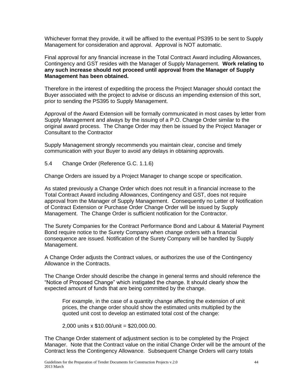Whichever format they provide, it will be affixed to the eventual PS395 to be sent to Supply Management for consideration and approval. Approval is NOT automatic.

Final approval for any financial increase in the Total Contract Award including Allowances, Contingency and GST resides with the Manager of Supply Management. **Work relating to any such increase should not proceed until approval from the Manager of Supply Management has been obtained.**

Therefore in the interest of expediting the process the Project Manager should contact the Buyer associated with the project to advise or discuss an impending extension of this sort, prior to sending the PS395 to Supply Management.

Approval of the Award Extension will be formally communicated in most cases by letter from Supply Management and always by the issuing of a P.O. Change Order similar to the original award process. The Change Order may then be issued by the Project Manager or Consultant to the Contractor

Supply Management strongly recommends you maintain clear, concise and timely communication with your Buyer to avoid any delays in obtaining approvals.

5.4 Change Order (Reference G.C. 1.1.6)

Change Orders are issued by a Project Manager to change scope or specification.

As stated previously a Change Order which does not result in a financial increase to the Total Contract Award including Allowances, Contingency and GST, does not require approval from the Manager of Supply Management. Consequently no Letter of Notification of Contract Extension or Purchase Order Change Order will be issued by Supply Management. The Change Order is sufficient notification for the Contractor.

The Surety Companies for the Contract Performance Bond and Labour & Material Payment Bond require notice to the Surety Company when change orders with a financial consequence are issued. Notification of the Surety Company will be handled by Supply Management.

A Change Order adjusts the Contract values, or authorizes the use of the Contingency Allowance in the Contracts.

The Change Order should describe the change in general terms and should reference the "Notice of Proposed Change" which instigated the change. It should clearly show the expected amount of funds that are being committed by the change.

For example, in the case of a quantity change affecting the extension of unit prices, the change order should show the estimated units multiplied by the quoted unit cost to develop an estimated total cost of the change:

2,000 units x \$10.00/unit = \$20,000.00.

The Change Order statement of adjustment section is to be completed by the Project Manager. Note that the Contract value on the initial Change Order will be the amount of the Contract less the Contingency Allowance. Subsequent Change Orders will carry totals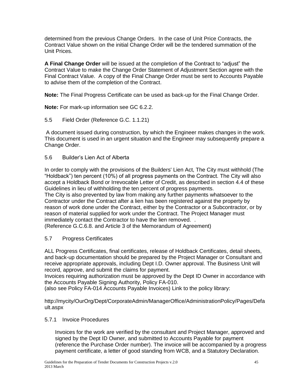determined from the previous Change Orders. In the case of Unit Price Contracts, the Contract Value shown on the initial Change Order will be the tendered summation of the Unit Prices.

**A Final Change Order** will be issued at the completion of the Contract to "adjust" the Contract Value to make the Change Order Statement of Adjustment Section agree with the Final Contract Value. A copy of the Final Change Order must be sent to Accounts Payable to advise them of the completion of the Contract.

**Note:** The Final Progress Certificate can be used as back-up for the Final Change Order.

**Note:** For mark-up information see GC 6.2.2.

5.5 Field Order (Reference G.C. 1.1.21)

A document issued during construction, by which the Engineer makes changes in the work. This document is used in an urgent situation and the Engineer may subsequently prepare a Change Order.

5.6 Builder"s Lien Act of Alberta

In order to comply with the provisions of the Builders' Lien Act, The City must withhold (The "Holdback") ten percent (10%) of all progress payments on the Contract. The City will also accept a Holdback Bond or Irrevocable Letter of Credit, as described in section 4.4 of these Guidelines in lieu of withholding the ten percent of progress payments.

The City is also prevented by law from making any further payments whatsoever to the Contractor under the Contract after a lien has been registered against the property by reason of work done under the Contract, either by the Contractor or a Subcontractor, or by reason of material supplied for work under the Contract. The Project Manager must immediately contact the Contractor to have the lien removed. .

(Reference G.C.6.8. and Article 3 of the Memorandum of Agreement)

#### 5.7 Progress Certificates

ALL Progress Certificates, final certificates, release of Holdback Certificates, detail sheets, and back-up documentation should be prepared by the Project Manager or Consultant and receive appropriate approvals, including Dept I.D. Owner approval. The Business Unit will record, approve, and submit the claims for payment.

Invoices requiring authorization must be approved by the Dept ID Owner in accordance with the Accounts Payable Signing Authority, Policy FA-010.

(also see Policy FA-014 Accounts Payable Invoices) Link to the policy library:

http://mycity/OurOrg/Dept/CorporateAdmin/ManagerOffice/AdministrationPolicy/Pages/Defa ult.aspx

#### 5.7.1 Invoice Procedures

Invoices for the work are verified by the consultant and Project Manager, approved and signed by the Dept ID Owner, and submitted to Accounts Payable for payment (reference the Purchase Order number). The invoice will be accompanied by a progress payment certificate, a letter of good standing from WCB, and a Statutory Declaration.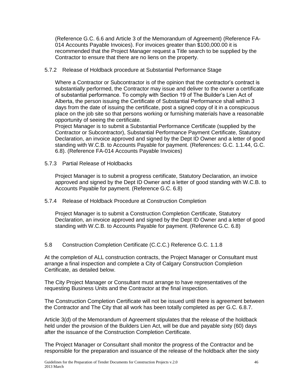(Reference G.C. 6.6 and Article 3 of the Memorandum of Agreement) (Reference FA-014 Accounts Payable Invoices). For invoices greater than \$100,000.00 it is recommended that the Project Manager request a Title search to be supplied by the Contractor to ensure that there are no liens on the property.

5.7.2 Release of Holdback procedure at Substantial Performance Stage

Where a Contractor or Subcontractor is of the opinion that the contractor"s contract is substantially performed, the Contractor may issue and deliver to the owner a certificate of substantial performance. To comply with Section 19 of The Builder"s Lien Act of Alberta, the person issuing the Certificate of Substantial Performance shall within 3 days from the date of issuing the certificate, post a signed copy of it in a conspicuous place on the job site so that persons working or furnishing materials have a reasonable opportunity of seeing the certificate.

Project Manager is to submit a Substantial Performance Certificate (supplied by the Contractor or Subcontractor), Substantial Performance Payment Certificate, Statutory Declaration, an invoice approved and signed by the Dept ID Owner and a letter of good standing with W.C.B. to Accounts Payable for payment. (References: G.C. 1.1.44, G.C. 6.8). (Reference FA-014 Accounts Payable Invoices)

5.7.3 Partial Release of Holdbacks

Project Manager is to submit a progress certificate, Statutory Declaration, an invoice approved and signed by the Dept ID Owner and a letter of good standing with W.C.B. to Accounts Payable for payment. (Reference G.C. 6.8)

5.7.4 Release of Holdback Procedure at Construction Completion

Project Manager is to submit a Construction Completion Certificate, Statutory Declaration, an invoice approved and signed by the Dept ID Owner and a letter of good standing with W.C.B. to Accounts Payable for payment. (Reference G.C. 6.8)

5.8 Construction Completion Certificate (C.C.C.) Reference G.C. 1.1.8

At the completion of ALL construction contracts, the Project Manager or Consultant must arrange a final inspection and complete a City of Calgary Construction Completion Certificate, as detailed below.

The City Project Manager or Consultant must arrange to have representatives of the requesting Business Units and the Contractor at the final inspection.

The Construction Completion Certificate will not be issued until there is agreement between the Contractor and The City that all work has been totally completed as per G.C. 6.8.7.

Article 3(d) of the Memorandum of Agreement stipulates that the release of the holdback held under the provision of the Builders Lien Act, will be due and payable sixty (60) days after the issuance of the Construction Completion Certificate.

The Project Manager or Consultant shall monitor the progress of the Contractor and be responsible for the preparation and issuance of the release of the holdback after the sixty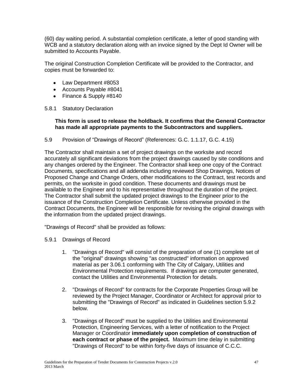(60) day waiting period. A substantial completion certificate, a letter of good standing with WCB and a statutory declaration along with an invoice signed by the Dept Id Owner will be submitted to Accounts Payable.

The original Construction Completion Certificate will be provided to the Contractor, and copies must be forwarded to:

- Law Department #8053
- Accounts Payable #8041
- Finance & Supply #8140

#### 5.8.1 Statutory Declaration

#### **This form is used to release the holdback. It confirms that the General Contractor has made all appropriate payments to the Subcontractors and suppliers.**

5.9 Provision of "Drawings of Record" (References: G.C. 1.1.17, G.C. 4.15)

The Contractor shall maintain a set of project drawings on the worksite and record accurately all significant deviations from the project drawings caused by site conditions and any changes ordered by the Engineer. The Contractor shall keep one copy of the Contract Documents, specifications and all addenda including reviewed Shop Drawings, Notices of Proposed Change and Change Orders, other modifications to the Contract, test records and permits, on the worksite in good condition. These documents and drawings must be available to the Engineer and to his representative throughout the duration of the project. The Contractor shall submit the updated project drawings to the Engineer prior to the issuance of the Construction Completion Certificate. Unless otherwise provided in the Contract Documents, the Engineer will be responsible for revising the original drawings with the information from the updated project drawings.

"Drawings of Record" shall be provided as follows:

- 5.9.1 Drawings of Record
	- 1. "Drawings of Record" will consist of the preparation of one (1) complete set of the "original" drawings showing "as constructed" information on approved material as per 3.06.1 conforming with The City of Calgary, Utilities and Environmental Protection requirements. If drawings are computer generated, contact the Utilities and Environmental Protection for details.
	- 2. "Drawings of Record" for contracts for the Corporate Properties Group will be reviewed by the Project Manager, Coordinator or Architect for approval prior to submitting the "Drawings of Record" as indicated in Guidelines section 5.9.2 below.
	- 3. "Drawings of Record" must be supplied to the Utilities and Environmental Protection, Engineering Services, with a letter of notification to the Project Manager or Coordinator **immediately upon completion of construction of each contract or phase of the project.** Maximum time delay in submitting "Drawings of Record" to be within forty-five days of issuance of C.C.C.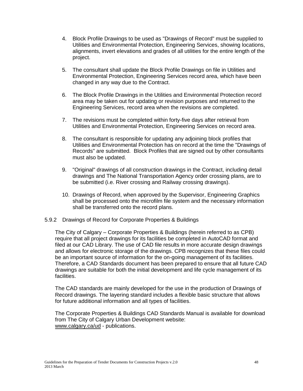- 4. Block Profile Drawings to be used as "Drawings of Record" must be supplied to Utilities and Environmental Protection, Engineering Services, showing locations, alignments, invert elevations and grades of all utilities for the entire length of the project.
- 5. The consultant shall update the Block Profile Drawings on file in Utilities and Environmental Protection, Engineering Services record area, which have been changed in any way due to the Contract.
- 6. The Block Profile Drawings in the Utilities and Environmental Protection record area may be taken out for updating or revision purposes and returned to the Engineering Services, record area when the revisions are completed.
- 7. The revisions must be completed within forty-five days after retrieval from Utilities and Environmental Protection, Engineering Services on record area.
- 8. The consultant is responsible for updating any adjoining block profiles that Utilities and Environmental Protection has on record at the time the "Drawings of Records" are submitted. Block Profiles that are signed out by other consultants must also be updated.
- 9. "Original" drawings of all construction drawings in the Contract, including detail drawings and The National Transportation Agency order crossing plans, are to be submitted (i.e. River crossing and Railway crossing drawings).
- 10. Drawings of Record, when approved by the Supervisor, Engineering Graphics shall be processed onto the microfilm file system and the necessary information shall be transferred onto the record plans.

#### 5.9.2 Drawings of Record for Corporate Properties & Buildings

The City of Calgary – Corporate Properties & Buildings (herein referred to as CPB) require that all project drawings for its facilities be completed in AutoCAD format and filed at our CAD Library. The use of CAD file results in more accurate design drawings and allows for electronic storage of the drawings. CPB recognizes that these files could be an important source of information for the on-going management of its facilities. Therefore, a CAD Standards document has been prepared to ensure that all future CAD drawings are suitable for both the initial development and life cycle management of its facilities.

The CAD standards are mainly developed for the use in the production of Drawings of Record drawings. The layering standard includes a flexible basic structure that allows for future additional information and all types of facilities.

The Corporate Properties & Buildings CAD Standards Manual is available for download from The City of Calgary Urban Development website: [www.calgary.ca/ud](http://www.calgary.ca/ud) - publications.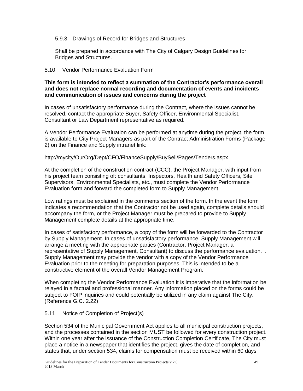#### 5.9.3 Drawings of Record for Bridges and Structures

Shall be prepared in accordance with The City of Calgary Design Guidelines for Bridges and Structures.

#### 5.10 Vendor Performance Evaluation Form

#### **This form is intended to reflect a summation of the Contractor's performance overall and does not replace normal recording and documentation of events and incidents and communication of issues and concerns during the project**

In cases of unsatisfactory performance during the Contract, where the issues cannot be resolved, contact the appropriate Buyer, Safety Officer, Environmental Specialist, Consultant or Law Department representative as required.

A Vendor Performance Evaluation can be performed at anytime during the project, the form is available to City Project Managers as part of the Contract Administration Forms (Package 2) on the Finance and Supply intranet link:

#### http://mycity/OurOrg/Dept/CFO/FinanceSupply/BuySell/Pages/Tenders.aspx

At the completion of the construction contract (CCC), the Project Manager, with input from his project team consisting of: consultants, Inspectors, Health and Safety Officers, Site Supervisors, Environmental Specialists, etc., must complete the Vendor Performance Evaluation form and forward the completed form to Supply Management.

Low ratings must be explained in the comments section of the form. In the event the form indicates a recommendation that the Contractor not be used again, complete details should accompany the form, or the Project Manager must be prepared to provide to Supply Management complete details at the appropriate time.

In cases of satisfactory performance, a copy of the form will be forwarded to the Contractor by Supply Management. In cases of unsatisfactory performance, Supply Management will arrange a meeting with the appropriate parties (Contractor, Project Manager, a representative of Supply Management, Consultant) to discuss the performance evaluation. . Supply Management may provide the vendor with a copy of the Vendor Performance Evaluation prior to the meeting for preparation purposes. This is intended to be a constructive element of the overall Vendor Management Program.

When completing the Vendor Performance Evaluation it is imperative that the information be relayed in a factual and professional manner. Any information placed on the forms could be subject to FOIP inquiries and could potentially be utilized in any claim against The City. (Reference G.C. 2.22)

#### 5.11 Notice of Completion of Project(s)

Section 534 of the Municipal Government Act applies to all municipal construction projects, and the processes contained in the section MUST be followed for every construction project. Within one year after the issuance of the Construction Completion Certificate, The City must place a notice in a newspaper that identifies the project, gives the date of completion, and states that, under section 534, claims for compensation must be received within 60 days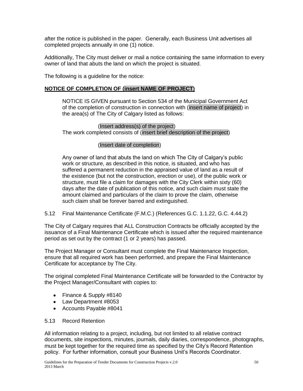after the notice is published in the paper. Generally, each Business Unit advertises all completed projects annually in one (1) notice.

Additionally, The City must deliver or mail a notice containing the same information to every owner of land that abuts the land on which the project is situated.

The following is a guideline for the notice:

# **NOTICE OF COMPLETION OF (insert NAME OF PROJECT)**

NOTICE IS GIVEN pursuant to Section 534 of the Municipal Government Act of the completion of construction in connection with (insert name of project) in the area(s) of The City of Calgary listed as follows:

(Insert address(s) of the project) The work completed consists of (insert brief description of the project)

#### (Insert date of completion)

Any owner of land that abuts the land on which The City of Calgary"s public work or structure, as described in this notice, is situated, and who has suffered a permanent reduction in the appraised value of land as a result of the existence (but not the construction, erection or use), of the public work or structure, must file a claim for damages with the City Clerk within sixty (60) days after the date of publication of this notice, and such claim must state the amount claimed and particulars of the claim to prove the claim, otherwise such claim shall be forever barred and extinguished.

5.12 Final Maintenance Certificate (F.M.C.) (References G.C. 1.1.22, G.C. 4.44.2)

The City of Calgary requires that ALL Construction Contracts be officially accepted by the issuance of a Final Maintenance Certificate which is issued after the required maintenance period as set out by the contract (1 or 2 years) has passed.

The Project Manager or Consultant must complete the Final Maintenance Inspection, ensure that all required work has been performed, and prepare the Final Maintenance Certificate for acceptance by The City.

The original completed Final Maintenance Certificate will be forwarded to the Contractor by the Project Manager/Consultant with copies to:

- Finance & Supply #8140
- Law Department #8053
- Accounts Payable #8041

#### 5.13 Record Retention

All information relating to a project, including, but not limited to all relative contract documents, site inspections, minutes, journals, daily diaries, correspondence, photographs, must be kept together for the required time as specified by the City"s Record Retention policy. For further information, consult your Business Unit"s Records Coordinator.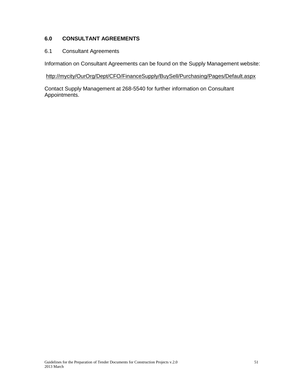# **6.0 CONSULTANT AGREEMENTS**

#### 6.1 Consultant Agreements

Information on Consultant Agreements can be found on the Supply Management website:

#### <http://mycity/OurOrg/Dept/CFO/FinanceSupply/BuySell/Purchasing/Pages/Default.aspx>

Contact Supply Management at 268-5540 for further information on Consultant Appointments.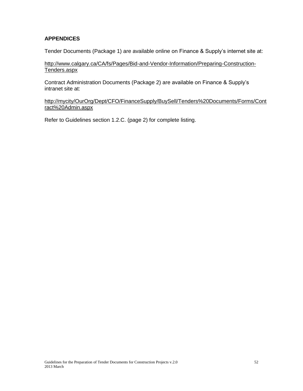# **APPENDICES**

Tender Documents (Package 1) are available online on Finance & Supply"s internet site at:

[http://www.calgary.ca/CA/fs/Pages/Bid-and-Vendor-Information/Preparing-Construction-](http://www.calgary.ca/CA/fs/Pages/Bid-and-Vendor-Information/Preparing-Construction-Tenders.aspx)[Tenders.aspx](http://www.calgary.ca/CA/fs/Pages/Bid-and-Vendor-Information/Preparing-Construction-Tenders.aspx) 

Contract Administration Documents (Package 2) are available on Finance & Supply"s intranet site at:

[http://mycity/OurOrg/Dept/CFO/FinanceSupply/BuySell/Tenders%20Documents/Forms/Cont](http://mycity/OurOrg/Dept/CFO/FinanceSupply/BuySell/Tenders%20Documents/Forms/Contract%20Admin.aspx) [ract%20Admin.aspx](http://mycity/OurOrg/Dept/CFO/FinanceSupply/BuySell/Tenders%20Documents/Forms/Contract%20Admin.aspx)

Refer to Guidelines section 1.2.C. (page 2) for complete listing.